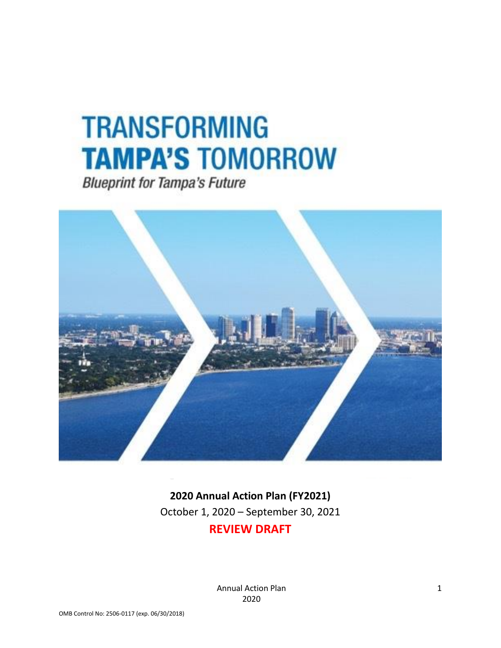# **TRANSFORMING TAMPA'S TOMORROW**

**Blueprint for Tampa's Future** 



**2020 Annual Action Plan (FY2021)** October 1, 2020 – September 30, 2021

# **REVIEW DRAFT**

Annual Action Plan 2020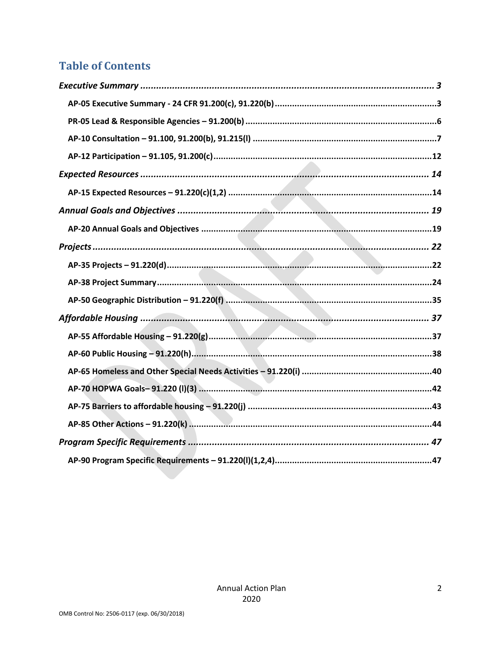# **Table of Contents**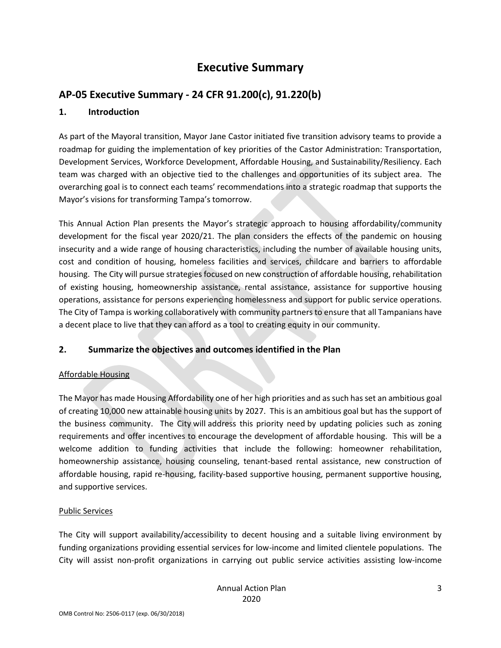# **Executive Summary**

# <span id="page-2-1"></span><span id="page-2-0"></span>**AP-05 Executive Summary - 24 CFR 91.200(c), 91.220(b)**

### **1. Introduction**

As part of the Mayoral transition, Mayor Jane Castor initiated five transition advisory teams to provide a roadmap for guiding the implementation of key priorities of the Castor Administration: Transportation, Development Services, Workforce Development, Affordable Housing, and Sustainability/Resiliency. Each team was charged with an objective tied to the challenges and opportunities of its subject area. The overarching goal is to connect each teams' recommendations into a strategic roadmap that supports the Mayor's visions for transforming Tampa's tomorrow.

This Annual Action Plan presents the Mayor's strategic approach to housing affordability/community development for the fiscal year 2020/21. The plan considers the effects of the pandemic on housing insecurity and a wide range of housing characteristics, including the number of available housing units, cost and condition of housing, homeless facilities and services, childcare and barriers to affordable housing. The City will pursue strategies focused on new construction of affordable housing, rehabilitation of existing housing, homeownership assistance, rental assistance, assistance for supportive housing operations, assistance for persons experiencing homelessness and support for public service operations. The City of Tampa is working collaboratively with community partners to ensure that all Tampanians have a decent place to live that they can afford as a tool to creating equity in our community.

### **2. Summarize the objectives and outcomes identified in the Plan**

### Affordable Housing

The Mayor has made Housing Affordability one of her high priorities and as such has set an ambitious goal of creating 10,000 new attainable housing units by 2027. This is an ambitious goal but has the support of the business community. The City will address this priority need by updating policies such as zoning requirements and offer incentives to encourage the development of affordable housing. This will be a welcome addition to funding activities that include the following: homeowner rehabilitation, homeownership assistance, housing counseling, tenant-based rental assistance, new construction of affordable housing, rapid re-housing, facility-based supportive housing, permanent supportive housing, and supportive services.

### Public Services

The City will support availability/accessibility to decent housing and a suitable living environment by funding organizations providing essential services for low-income and limited clientele populations. The City will assist non-profit organizations in carrying out public service activities assisting low-income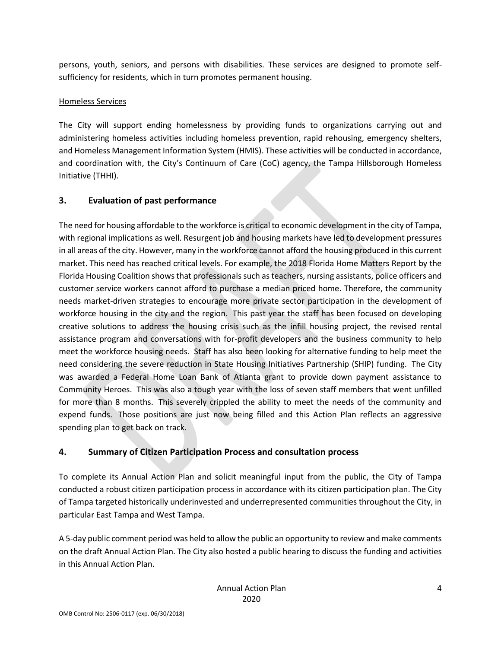persons, youth, seniors, and persons with disabilities. These services are designed to promote selfsufficiency for residents, which in turn promotes permanent housing.

### Homeless Services

The City will support ending homelessness by providing funds to organizations carrying out and administering homeless activities including homeless prevention, rapid rehousing, emergency shelters, and Homeless Management Information System (HMIS). These activities will be conducted in accordance, and coordination with, the City's Continuum of Care (CoC) agency, the Tampa Hillsborough Homeless Initiative (THHI).

# **3. Evaluation of past performance**

The need for housing affordable to the workforce is critical to economic development in the city of Tampa, with regional implications as well. Resurgent job and housing markets have led to development pressures in all areas of the city. However, many in the workforce cannot afford the housing produced in this current market. This need has reached critical levels. For example, the 2018 Florida Home Matters Report by the Florida Housing Coalition shows that professionals such as teachers, nursing assistants, police officers and customer service workers cannot afford to purchase a median priced home. Therefore, the community needs market-driven strategies to encourage more private sector participation in the development of workforce housing in the city and the region. This past year the staff has been focused on developing creative solutions to address the housing crisis such as the infill housing project, the revised rental assistance program and conversations with for-profit developers and the business community to help meet the workforce housing needs. Staff has also been looking for alternative funding to help meet the need considering the severe reduction in State Housing Initiatives Partnership (SHIP) funding. The City was awarded a Federal Home Loan Bank of Atlanta grant to provide down payment assistance to Community Heroes. This was also a tough year with the loss of seven staff members that went unfilled for more than 8 months. This severely crippled the ability to meet the needs of the community and expend funds. Those positions are just now being filled and this Action Plan reflects an aggressive spending plan to get back on track.

# **4. Summary of Citizen Participation Process and consultation process**

To complete its Annual Action Plan and solicit meaningful input from the public, the City of Tampa conducted a robust citizen participation process in accordance with its citizen participation plan. The City of Tampa targeted historically underinvested and underrepresented communities throughout the City, in particular East Tampa and West Tampa.

A 5-day public comment period was held to allow the public an opportunity to review and make comments on the draft Annual Action Plan. The City also hosted a public hearing to discuss the funding and activities in this Annual Action Plan.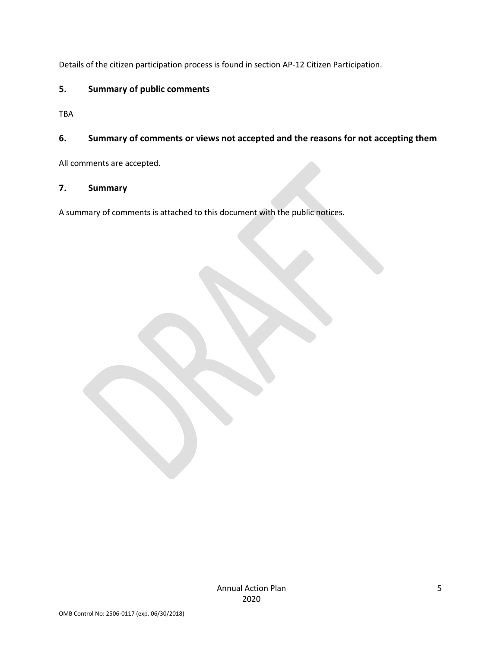Details of the citizen participation process is found in section AP-12 Citizen Participation.

### **5. Summary of public comments**

TBA

### **6. Summary of comments or views not accepted and the reasons for not accepting them**

All comments are accepted.

### **7. Summary**

A summary of comments is attached to this document with the public notices.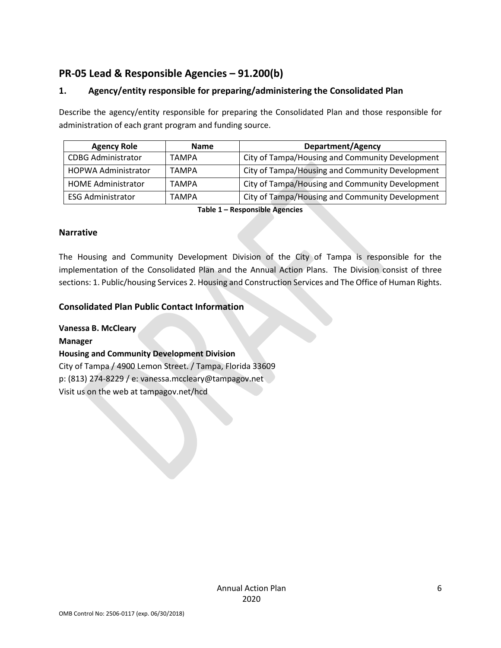# <span id="page-5-0"></span>**PR-05 Lead & Responsible Agencies – 91.200(b)**

### **1. Agency/entity responsible for preparing/administering the Consolidated Plan**

Describe the agency/entity responsible for preparing the Consolidated Plan and those responsible for administration of each grant program and funding source.

| <b>Agency Role</b>         | <b>Name</b>  | <b>Department/Agency</b>                        |
|----------------------------|--------------|-------------------------------------------------|
| <b>CDBG Administrator</b>  | <b>TAMPA</b> | City of Tampa/Housing and Community Development |
| <b>HOPWA Administrator</b> | <b>TAMPA</b> | City of Tampa/Housing and Community Development |
| <b>HOME Administrator</b>  | <b>TAMPA</b> | City of Tampa/Housing and Community Development |
| <b>ESG Administrator</b>   | <b>TAMPA</b> | City of Tampa/Housing and Community Development |

**Table 1 – Responsible Agencies**

#### **Narrative**

The Housing and Community Development Division of the City of Tampa is responsible for the implementation of the Consolidated Plan and the Annual Action Plans. The Division consist of three sections: 1. Public/housing Services 2. Housing and Construction Services and The Office of Human Rights.

### **Consolidated Plan Public Contact Information**

**Vanessa B. McCleary**

**Manager**

### **Housing and Community Development Division**

City of Tampa / 4900 Lemon Street. / Tampa, Florida 33609 p: (813) 274-8229 / e: vanessa.mccleary@tampagov.net Visit us on the web at tampagov.net/hcd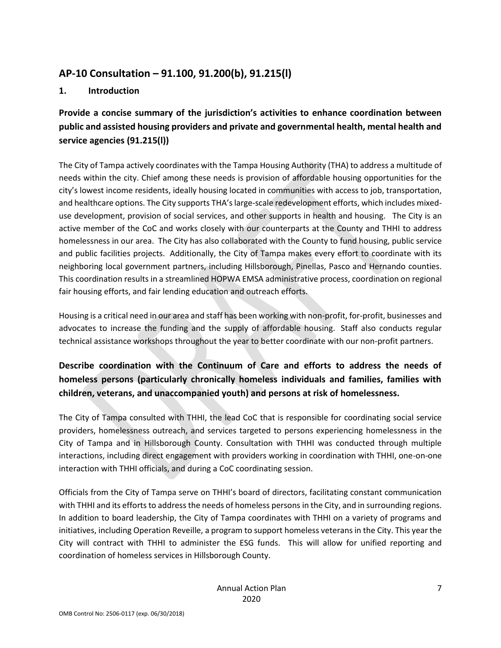# <span id="page-6-0"></span>**AP-10 Consultation – 91.100, 91.200(b), 91.215(l)**

# **1. Introduction**

**Provide a concise summary of the jurisdiction's activities to enhance coordination between public and assisted housing providers and private and governmental health, mental health and service agencies (91.215(l))**

The City of Tampa actively coordinates with the Tampa Housing Authority (THA) to address a multitude of needs within the city. Chief among these needs is provision of affordable housing opportunities for the city's lowest income residents, ideally housing located in communities with access to job, transportation, and healthcare options. The City supports THA's large-scale redevelopment efforts, which includes mixeduse development, provision of social services, and other supports in health and housing. The City is an active member of the CoC and works closely with our counterparts at the County and THHI to address homelessness in our area. The City has also collaborated with the County to fund housing, public service and public facilities projects. Additionally, the City of Tampa makes every effort to coordinate with its neighboring local government partners, including Hillsborough, Pinellas, Pasco and Hernando counties. This coordination results in a streamlined HOPWA EMSA administrative process, coordination on regional fair housing efforts, and fair lending education and outreach efforts.

Housing is a critical need in our area and staff has been working with non-profit, for-profit, businesses and advocates to increase the funding and the supply of affordable housing. Staff also conducts regular technical assistance workshops throughout the year to better coordinate with our non-profit partners.

# **Describe coordination with the Continuum of Care and efforts to address the needs of homeless persons (particularly chronically homeless individuals and families, families with children, veterans, and unaccompanied youth) and persons at risk of homelessness.**

The City of Tampa consulted with THHI, the lead CoC that is responsible for coordinating social service providers, homelessness outreach, and services targeted to persons experiencing homelessness in the City of Tampa and in Hillsborough County. Consultation with THHI was conducted through multiple interactions, including direct engagement with providers working in coordination with THHI, one-on-one interaction with THHI officials, and during a CoC coordinating session.

Officials from the City of Tampa serve on THHI's board of directors, facilitating constant communication with THHI and its efforts to address the needs of homeless persons in the City, and in surrounding regions. In addition to board leadership, the City of Tampa coordinates with THHI on a variety of programs and initiatives, including Operation Reveille, a program to support homeless veterans in the City. This year the City will contract with THHI to administer the ESG funds. This will allow for unified reporting and coordination of homeless services in Hillsborough County.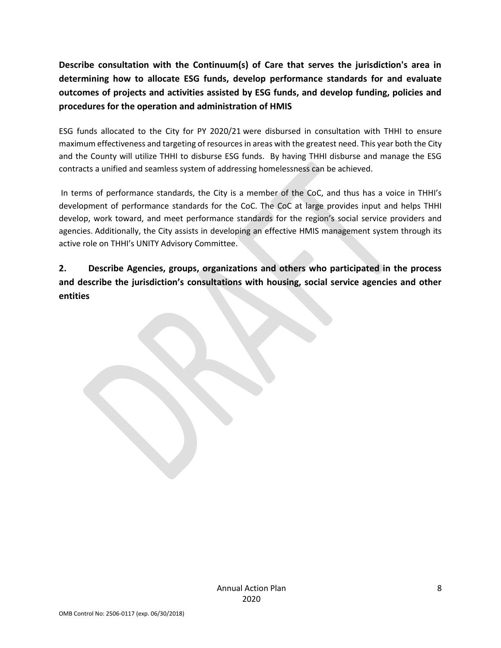**Describe consultation with the Continuum(s) of Care that serves the jurisdiction's area in determining how to allocate ESG funds, develop performance standards for and evaluate outcomes of projects and activities assisted by ESG funds, and develop funding, policies and procedures for the operation and administration of HMIS**

ESG funds allocated to the City for PY 2020/21 were disbursed in consultation with THHI to ensure maximum effectiveness and targeting of resources in areas with the greatest need. This year both the City and the County will utilize THHI to disburse ESG funds. By having THHI disburse and manage the ESG contracts a unified and seamless system of addressing homelessness can be achieved.

In terms of performance standards, the City is a member of the CoC, and thus has a voice in THHI's development of performance standards for the CoC. The CoC at large provides input and helps THHI develop, work toward, and meet performance standards for the region's social service providers and agencies. Additionally, the City assists in developing an effective HMIS management system through its active role on THHI's UNITY Advisory Committee.

**2. Describe Agencies, groups, organizations and others who participated in the process and describe the jurisdiction's consultations with housing, social service agencies and other entities**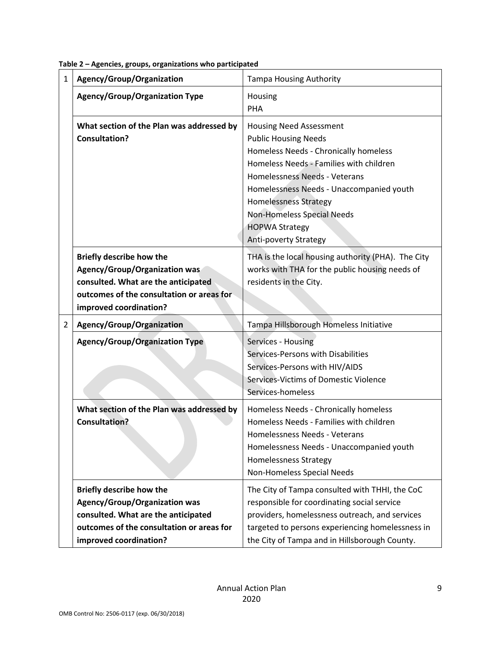| 1              | Agency/Group/Organization                                                                                                                                                             | <b>Tampa Housing Authority</b>                                                                                                                                                                                                                                                                                                                        |
|----------------|---------------------------------------------------------------------------------------------------------------------------------------------------------------------------------------|-------------------------------------------------------------------------------------------------------------------------------------------------------------------------------------------------------------------------------------------------------------------------------------------------------------------------------------------------------|
|                | <b>Agency/Group/Organization Type</b>                                                                                                                                                 | Housing<br><b>PHA</b>                                                                                                                                                                                                                                                                                                                                 |
|                | What section of the Plan was addressed by<br><b>Consultation?</b>                                                                                                                     | <b>Housing Need Assessment</b><br><b>Public Housing Needs</b><br>Homeless Needs - Chronically homeless<br>Homeless Needs - Families with children<br>Homelessness Needs - Veterans<br>Homelessness Needs - Unaccompanied youth<br><b>Homelessness Strategy</b><br>Non-Homeless Special Needs<br><b>HOPWA Strategy</b><br><b>Anti-poverty Strategy</b> |
|                | <b>Briefly describe how the</b><br><b>Agency/Group/Organization was</b><br>consulted. What are the anticipated<br>outcomes of the consultation or areas for<br>improved coordination? | THA is the local housing authority (PHA). The City<br>works with THA for the public housing needs of<br>residents in the City.                                                                                                                                                                                                                        |
| $\overline{2}$ | Agency/Group/Organization                                                                                                                                                             | Tampa Hillsborough Homeless Initiative                                                                                                                                                                                                                                                                                                                |
|                | <b>Agency/Group/Organization Type</b>                                                                                                                                                 | Services - Housing<br>Services-Persons with Disabilities<br>Services-Persons with HIV/AIDS<br>Services-Victims of Domestic Violence<br>Services-homeless                                                                                                                                                                                              |
|                | What section of the Plan was addressed by<br><b>Consultation?</b>                                                                                                                     | Homeless Needs - Chronically homeless<br>Homeless Needs - Families with children<br>Homelessness Needs - Veterans<br>Homelessness Needs - Unaccompanied youth<br><b>Homelessness Strategy</b><br>Non-Homeless Special Needs                                                                                                                           |
|                | <b>Briefly describe how the</b><br><b>Agency/Group/Organization was</b><br>consulted. What are the anticipated<br>outcomes of the consultation or areas for<br>improved coordination? | The City of Tampa consulted with THHI, the CoC<br>responsible for coordinating social service<br>providers, homelessness outreach, and services<br>targeted to persons experiencing homelessness in<br>the City of Tampa and in Hillsborough County.                                                                                                  |

**Table 2 – Agencies, groups, organizations who participated**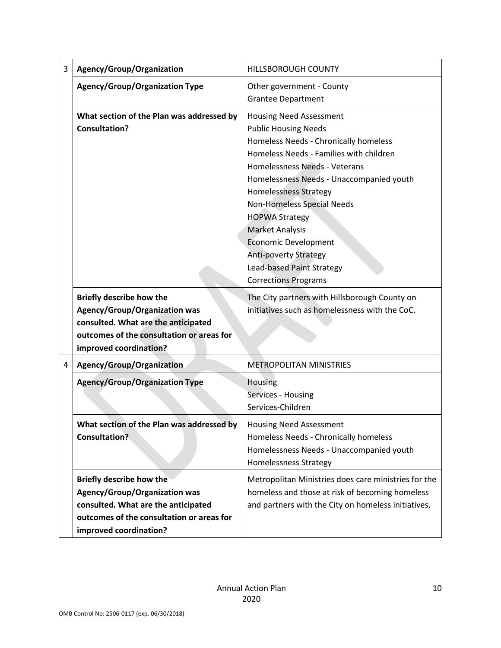| 3 | Agency/Group/Organization                                                                                                                                                             | <b>HILLSBOROUGH COUNTY</b>                                                                                                                                                                                                                                                                                                                                                                                                                                                 |  |  |
|---|---------------------------------------------------------------------------------------------------------------------------------------------------------------------------------------|----------------------------------------------------------------------------------------------------------------------------------------------------------------------------------------------------------------------------------------------------------------------------------------------------------------------------------------------------------------------------------------------------------------------------------------------------------------------------|--|--|
|   | <b>Agency/Group/Organization Type</b>                                                                                                                                                 | Other government - County<br><b>Grantee Department</b>                                                                                                                                                                                                                                                                                                                                                                                                                     |  |  |
|   | What section of the Plan was addressed by<br><b>Consultation?</b>                                                                                                                     | <b>Housing Need Assessment</b><br><b>Public Housing Needs</b><br>Homeless Needs - Chronically homeless<br>Homeless Needs - Families with children<br>Homelessness Needs - Veterans<br>Homelessness Needs - Unaccompanied youth<br><b>Homelessness Strategy</b><br>Non-Homeless Special Needs<br><b>HOPWA Strategy</b><br><b>Market Analysis</b><br><b>Economic Development</b><br><b>Anti-poverty Strategy</b><br>Lead-based Paint Strategy<br><b>Corrections Programs</b> |  |  |
|   | <b>Briefly describe how the</b><br><b>Agency/Group/Organization was</b><br>consulted. What are the anticipated<br>outcomes of the consultation or areas for<br>improved coordination? | The City partners with Hillsborough County on<br>initiatives such as homelessness with the CoC.                                                                                                                                                                                                                                                                                                                                                                            |  |  |
| 4 | Agency/Group/Organization                                                                                                                                                             | <b>METROPOLITAN MINISTRIES</b>                                                                                                                                                                                                                                                                                                                                                                                                                                             |  |  |
|   | <b>Agency/Group/Organization Type</b>                                                                                                                                                 | Housing<br>Services - Housing<br>Services-Children                                                                                                                                                                                                                                                                                                                                                                                                                         |  |  |
|   | What section of the Plan was addressed by<br><b>Consultation?</b>                                                                                                                     | <b>Housing Need Assessment</b><br>Homeless Needs - Chronically homeless<br>Homelessness Needs - Unaccompanied youth<br><b>Homelessness Strategy</b>                                                                                                                                                                                                                                                                                                                        |  |  |
|   | <b>Briefly describe how the</b><br>Agency/Group/Organization was<br>consulted. What are the anticipated<br>outcomes of the consultation or areas for<br>improved coordination?        | Metropolitan Ministries does care ministries for the<br>homeless and those at risk of becoming homeless<br>and partners with the City on homeless initiatives.                                                                                                                                                                                                                                                                                                             |  |  |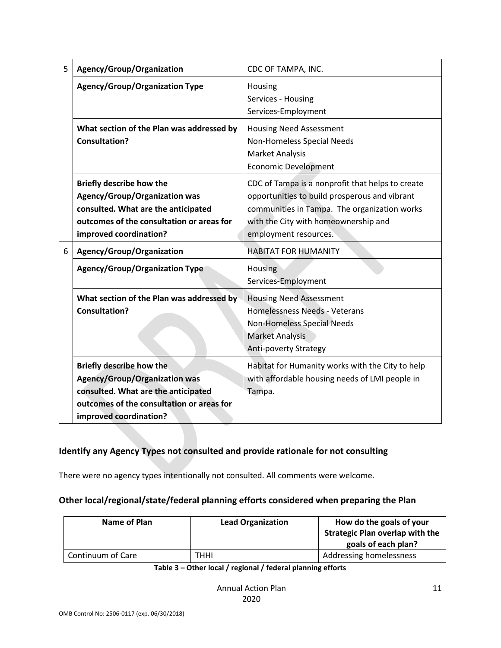| 5 | Agency/Group/Organization                                                                                                                                                             | CDC OF TAMPA, INC.                                                                                                                                                                                                 |  |  |
|---|---------------------------------------------------------------------------------------------------------------------------------------------------------------------------------------|--------------------------------------------------------------------------------------------------------------------------------------------------------------------------------------------------------------------|--|--|
|   | <b>Agency/Group/Organization Type</b>                                                                                                                                                 | Housing<br>Services - Housing<br>Services-Employment                                                                                                                                                               |  |  |
|   | What section of the Plan was addressed by<br><b>Consultation?</b>                                                                                                                     | <b>Housing Need Assessment</b><br>Non-Homeless Special Needs<br><b>Market Analysis</b><br><b>Economic Development</b>                                                                                              |  |  |
|   | <b>Briefly describe how the</b><br><b>Agency/Group/Organization was</b><br>consulted. What are the anticipated<br>outcomes of the consultation or areas for<br>improved coordination? | CDC of Tampa is a nonprofit that helps to create<br>opportunities to build prosperous and vibrant<br>communities in Tampa. The organization works<br>with the City with homeownership and<br>employment resources. |  |  |
| 6 | Agency/Group/Organization                                                                                                                                                             | <b>HABITAT FOR HUMANITY</b>                                                                                                                                                                                        |  |  |
|   | <b>Agency/Group/Organization Type</b>                                                                                                                                                 | Housing<br>Services-Employment                                                                                                                                                                                     |  |  |
|   | What section of the Plan was addressed by<br><b>Consultation?</b>                                                                                                                     | <b>Housing Need Assessment</b><br>Homelessness Needs - Veterans<br>Non-Homeless Special Needs<br><b>Market Analysis</b><br><b>Anti-poverty Strategy</b>                                                            |  |  |
|   | <b>Briefly describe how the</b><br><b>Agency/Group/Organization was</b><br>consulted. What are the anticipated<br>outcomes of the consultation or areas for<br>improved coordination? | Habitat for Humanity works with the City to help<br>with affordable housing needs of LMI people in<br>Tampa.                                                                                                       |  |  |

# **Identify any Agency Types not consulted and provide rationale for not consulting**

There were no agency types intentionally not consulted. All comments were welcome.

### **Other local/regional/state/federal planning efforts considered when preparing the Plan**

| Name of Plan      | <b>Lead Organization</b> | How do the goals of your<br><b>Strategic Plan overlap with the</b><br>goals of each plan? |
|-------------------|--------------------------|-------------------------------------------------------------------------------------------|
| Continuum of Care | THHI                     | Addressing homelessness                                                                   |

#### **Table 3 – Other local / regional / federal planning efforts**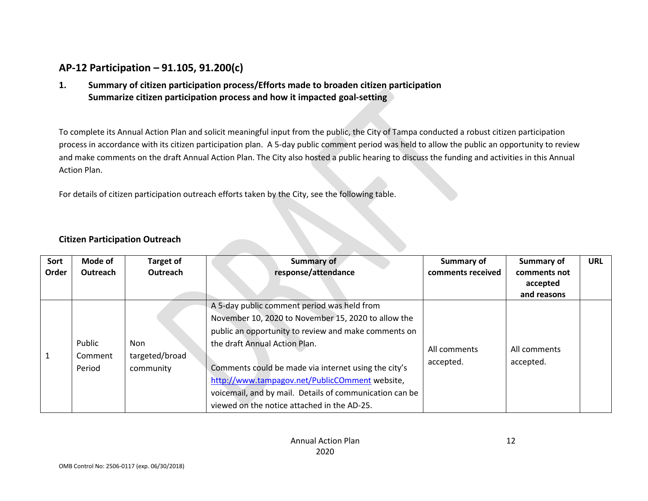# **AP-12 Participation – 91.105, 91.200(c)**

**1. Summary of citizen participation process/Efforts made to broaden citizen participation Summarize citizen participation process and how it impacted goal-setting**

To complete its Annual Action Plan and solicit meaningful input from the public, the City of Tampa conducted a robust citizen participation process in accordance with its citizen participation plan. A 5-day public comment period was held to allow the public an opportunity to review and make comments on the draft Annual Action Plan. The City also hosted a public hearing to discuss the funding and activities in this Annual Action Plan.

<span id="page-11-0"></span>For details of citizen participation outreach efforts taken by the City, see the following table.

### **Citizen Participation Outreach**

| Sort<br>Order    | Mode of<br>Outreach | <b>Target of</b><br>Outreach              | <b>Summary of</b><br>response/attendance                                                                                                                                                                                                                                                                                                                                                                        | <b>Summary of</b><br>comments received | <b>Summary of</b><br>comments not<br>accepted<br>and reasons | <b>URL</b> |
|------------------|---------------------|-------------------------------------------|-----------------------------------------------------------------------------------------------------------------------------------------------------------------------------------------------------------------------------------------------------------------------------------------------------------------------------------------------------------------------------------------------------------------|----------------------------------------|--------------------------------------------------------------|------------|
| Public<br>Period | Comment             | <b>Non</b><br>targeted/broad<br>community | A 5-day public comment period was held from<br>November 10, 2020 to November 15, 2020 to allow the<br>public an opportunity to review and make comments on<br>the draft Annual Action Plan.<br>Comments could be made via internet using the city's<br>http://www.tampagov.net/PublicCOmment website,<br>voicemail, and by mail. Details of communication can be<br>viewed on the notice attached in the AD-25. | All comments<br>accepted.              | All comments<br>accepted.                                    |            |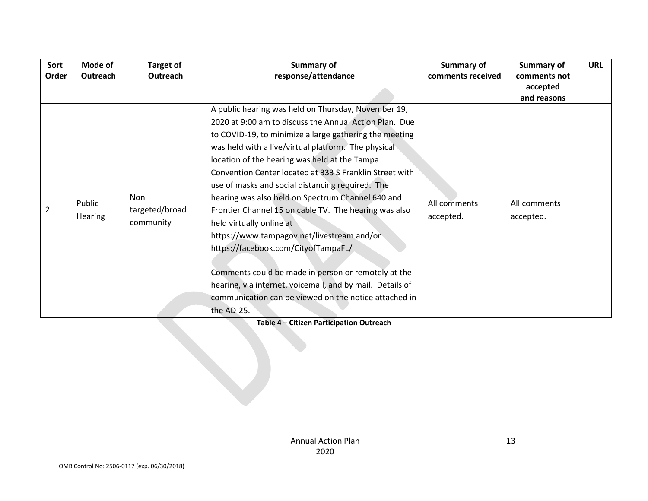**Table 4 – Citizen Participation Outreach**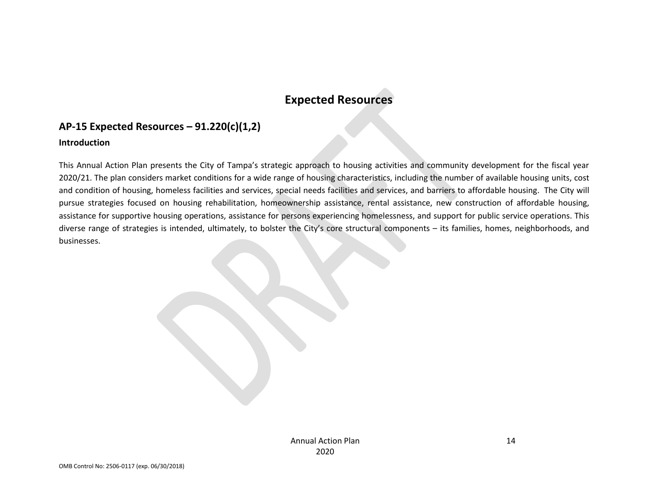# **Expected Resources**

# **AP-15 Expected Resources – 91.220(c)(1,2)**

#### **Introduction**

<span id="page-13-1"></span><span id="page-13-0"></span>This Annual Action Plan presents the City of Tampa's strategic approach to housing activities and community development for the fiscal year 2020/21. The plan considers market conditions for a wide range of housing characteristics, including the number of available housing units, cost and condition of housing, homeless facilities and services, special needs facilities and services, and barriers to affordable housing. The City will pursue strategies focused on housing rehabilitation, homeownership assistance, rental assistance, new construction of affordable housing, assistance for supportive housing operations, assistance for persons experiencing homelessness, and support for public service operations. This diverse range of strategies is intended, ultimately, to bolster the City's core structural components – its families, homes, neighborhoods, and businesses.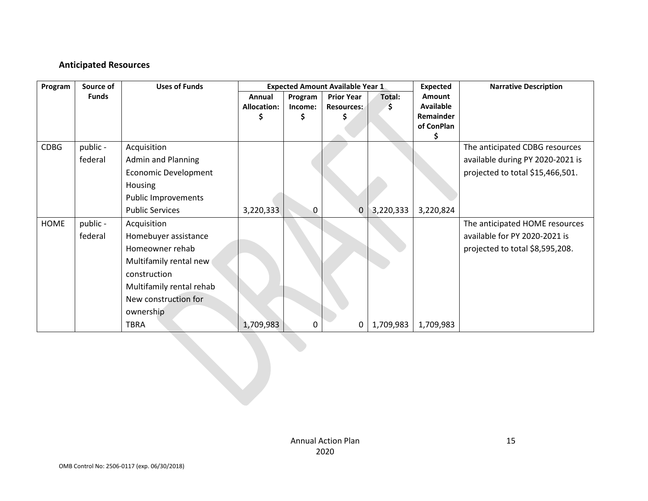# **Anticipated Resources**

| Program     | Source of    | <b>Uses of Funds</b>       |                    |         | <b>Expected Amount Available Year 1</b> |           | <b>Expected</b> | <b>Narrative Description</b>     |
|-------------|--------------|----------------------------|--------------------|---------|-----------------------------------------|-----------|-----------------|----------------------------------|
|             | <b>Funds</b> |                            | Annual             | Program | <b>Prior Year</b>                       | Total:    | <b>Amount</b>   |                                  |
|             |              |                            | <b>Allocation:</b> | Income: | <b>Resources:</b>                       | `Ş.       | Available       |                                  |
|             |              |                            |                    |         |                                         |           | Remainder       |                                  |
|             |              |                            |                    |         |                                         |           | of ConPlan      |                                  |
| <b>CDBG</b> | public -     | Acquisition                |                    |         |                                         |           |                 | The anticipated CDBG resources   |
|             | federal      | <b>Admin and Planning</b>  |                    |         |                                         |           |                 | available during PY 2020-2021 is |
|             |              | Economic Development       |                    |         |                                         |           |                 | projected to total \$15,466,501. |
|             |              | Housing                    |                    |         |                                         |           |                 |                                  |
|             |              | <b>Public Improvements</b> |                    |         |                                         |           |                 |                                  |
|             |              | <b>Public Services</b>     | 3,220,333          | 0       | $\Omega$                                | 3,220,333 | 3,220,824       |                                  |
| <b>HOME</b> | public -     | Acquisition                |                    |         |                                         |           |                 | The anticipated HOME resources   |
|             | federal      | Homebuyer assistance       |                    |         |                                         |           |                 | available for PY 2020-2021 is    |
|             |              | Homeowner rehab            |                    |         |                                         |           |                 | projected to total \$8,595,208.  |
|             |              | Multifamily rental new     |                    |         |                                         |           |                 |                                  |
|             |              | construction               |                    |         |                                         |           |                 |                                  |
|             |              | Multifamily rental rehab   |                    |         |                                         |           |                 |                                  |
|             |              | New construction for       |                    |         |                                         |           |                 |                                  |
|             |              | ownership                  |                    |         |                                         |           |                 |                                  |
|             |              | TBRA                       | 1,709,983          | 0       | 0                                       | 1,709,983 | 1,709,983       |                                  |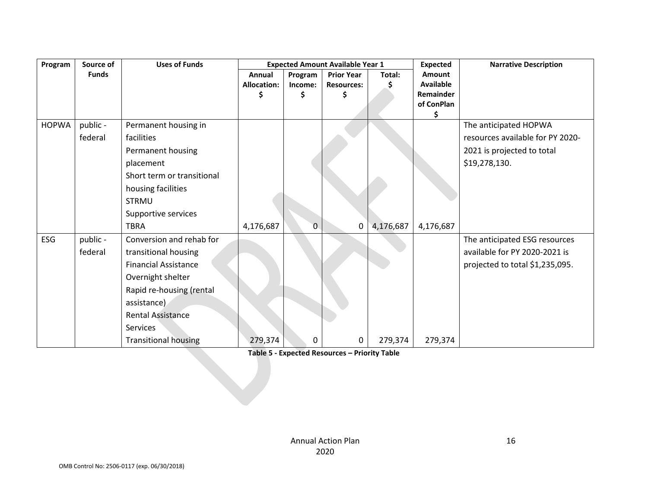| Program      | Source of    | <b>Uses of Funds</b><br><b>Expected Amount Available Year 1</b> |                    |              |                   |           | <b>Expected</b>         | <b>Narrative Description</b>     |
|--------------|--------------|-----------------------------------------------------------------|--------------------|--------------|-------------------|-----------|-------------------------|----------------------------------|
|              | <b>Funds</b> |                                                                 | Annual             | Program      | <b>Prior Year</b> | Total:    | Amount                  |                                  |
|              |              |                                                                 | <b>Allocation:</b> | Income:      | <b>Resources:</b> |           | <b>Available</b>        |                                  |
|              |              |                                                                 | \$                 | Ś            | \$                |           | Remainder<br>of ConPlan |                                  |
|              |              |                                                                 |                    |              |                   |           | Ś.                      |                                  |
| <b>HOPWA</b> | public -     | Permanent housing in                                            |                    |              |                   |           |                         | The anticipated HOPWA            |
|              | federal      | facilities                                                      |                    |              |                   |           |                         | resources available for PY 2020- |
|              |              | Permanent housing                                               |                    |              |                   |           |                         | 2021 is projected to total       |
|              |              | placement                                                       |                    |              |                   |           |                         | \$19,278,130.                    |
|              |              | Short term or transitional                                      |                    |              |                   |           |                         |                                  |
|              |              | housing facilities                                              |                    |              |                   |           |                         |                                  |
|              |              | <b>STRMU</b>                                                    |                    |              |                   |           |                         |                                  |
|              |              | Supportive services                                             |                    |              |                   |           |                         |                                  |
|              |              | <b>TBRA</b>                                                     | 4,176,687          | $\mathbf{0}$ | 0                 | 4,176,687 | 4,176,687               |                                  |
| ESG          | public -     | Conversion and rehab for                                        |                    |              |                   |           |                         | The anticipated ESG resources    |
|              | federal      | transitional housing                                            |                    |              |                   |           |                         | available for PY 2020-2021 is    |
|              |              | <b>Financial Assistance</b>                                     |                    |              |                   |           |                         | projected to total \$1,235,095.  |
|              |              | Overnight shelter                                               |                    |              |                   |           |                         |                                  |
|              |              | Rapid re-housing (rental                                        |                    |              |                   |           |                         |                                  |
|              |              | assistance)                                                     |                    |              |                   |           |                         |                                  |
|              |              | <b>Rental Assistance</b>                                        |                    |              |                   |           |                         |                                  |
|              |              | Services                                                        |                    |              |                   |           |                         |                                  |
|              |              | <b>Transitional housing</b>                                     | 279,374            | 0            | 0                 | 279,374   | 279,374                 |                                  |

**Table 5 - Expected Resources – Priority Table**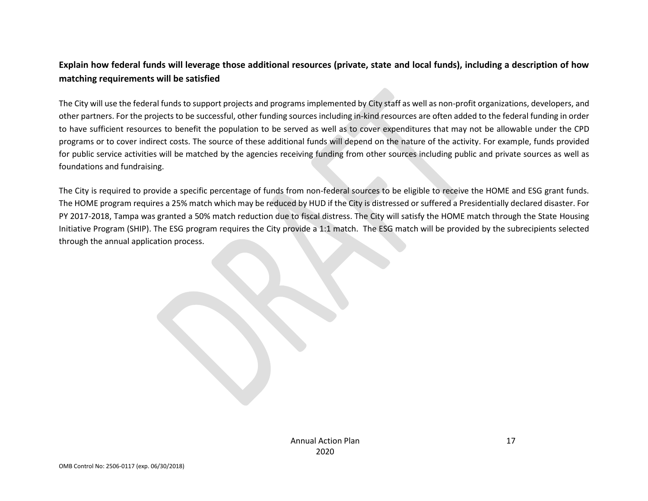# **Explain how federal funds will leverage those additional resources (private, state and local funds), including a description of how matching requirements will be satisfied**

The City will use the federal funds to support projects and programs implemented by City staff as well as non-profit organizations, developers, and other partners. For the projects to be successful, other funding sources including in-kind resources are often added to the federal funding in order to have sufficient resources to benefit the population to be served as well as to cover expenditures that may not be allowable under the CPD programs or to cover indirect costs. The source of these additional funds will depend on the nature of the activity. For example, funds provided for public service activities will be matched by the agencies receiving funding from other sources including public and private sources as well as foundations and fundraising.

The City is required to provide a specific percentage of funds from non-federal sources to be eligible to receive the HOME and ESG grant funds. The HOME program requires a 25% match which may be reduced by HUD if the City is distressed or suffered a Presidentially declared disaster. For PY 2017-2018, Tampa was granted a 50% match reduction due to fiscal distress. The City will satisfy the HOME match through the State Housing Initiative Program (SHIP). The ESG program requires the City provide a 1:1 match. The ESG match will be provided by the subrecipients selected through the annual application process.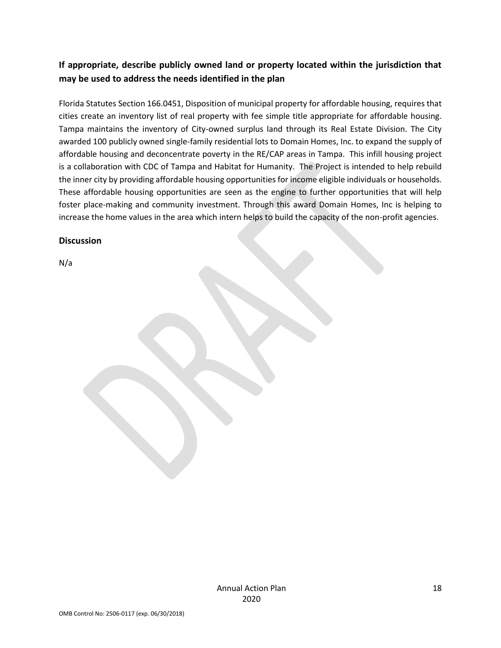# **If appropriate, describe publicly owned land or property located within the jurisdiction that may be used to address the needs identified in the plan**

Florida Statutes Section 166.0451, Disposition of municipal property for affordable housing, requires that cities create an inventory list of real property with fee simple title appropriate for affordable housing. Tampa maintains the inventory of City-owned surplus land through its Real Estate Division. The City awarded 100 publicly owned single-family residential lots to Domain Homes, Inc. to expand the supply of affordable housing and deconcentrate poverty in the RE/CAP areas in Tampa. This infill housing project is a collaboration with CDC of Tampa and Habitat for Humanity. The Project is intended to help rebuild the inner city by providing affordable housing opportunities for income eligible individuals or households. These affordable housing opportunities are seen as the engine to further opportunities that will help foster place-making and community investment. Through this award Domain Homes, Inc is helping to increase the home values in the area which intern helps to build the capacity of the non-profit agencies.

### **Discussion**

N/a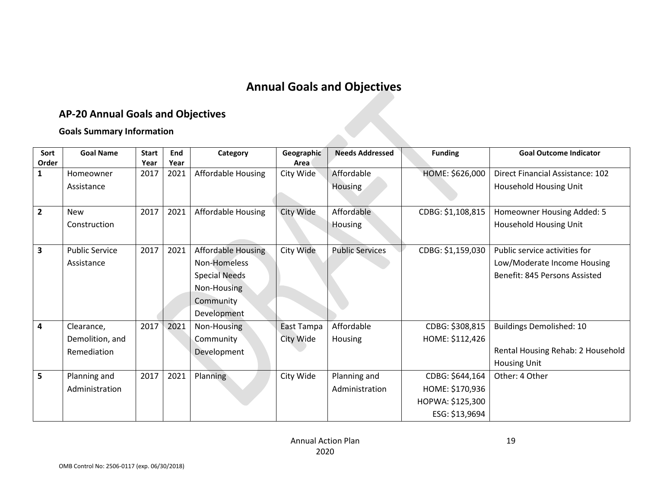# **Annual Goals and Objectives**

# **AP-20 Annual Goals and Objectives**

### **Goals Summary Information**

<span id="page-18-1"></span><span id="page-18-0"></span>

| Sort<br>Order           | <b>Goal Name</b>      | <b>Start</b><br>Year | End<br>Year | Category                  | Geographic<br>Area | <b>Needs Addressed</b> | <b>Funding</b>    | <b>Goal Outcome Indicator</b>     |
|-------------------------|-----------------------|----------------------|-------------|---------------------------|--------------------|------------------------|-------------------|-----------------------------------|
| $\mathbf{1}$            | Homeowner             | 2017                 | 2021        | <b>Affordable Housing</b> | City Wide          | Affordable             | HOME: \$626,000   | Direct Financial Assistance: 102  |
|                         | Assistance            |                      |             |                           |                    | Housing                |                   | Household Housing Unit            |
| $\overline{2}$          | <b>New</b>            | 2017                 | 2021        | <b>Affordable Housing</b> | City Wide          | Affordable             | CDBG: \$1,108,815 | Homeowner Housing Added: 5        |
|                         | Construction          |                      |             |                           |                    | Housing                |                   | Household Housing Unit            |
|                         |                       |                      |             |                           |                    |                        |                   |                                   |
| $\overline{\mathbf{3}}$ | <b>Public Service</b> | 2017                 | 2021        | <b>Affordable Housing</b> | City Wide          | <b>Public Services</b> | CDBG: \$1,159,030 | Public service activities for     |
|                         | Assistance            |                      |             | Non-Homeless              |                    |                        |                   | Low/Moderate Income Housing       |
|                         |                       |                      |             | <b>Special Needs</b>      |                    |                        |                   | Benefit: 845 Persons Assisted     |
|                         |                       |                      |             | Non-Housing               |                    |                        |                   |                                   |
|                         |                       |                      |             | Community                 |                    |                        |                   |                                   |
|                         |                       |                      |             | Development               |                    |                        |                   |                                   |
| 4                       | Clearance,            | 2017                 | 2021        | Non-Housing               | East Tampa         | Affordable             | CDBG: \$308,815   | <b>Buildings Demolished: 10</b>   |
|                         | Demolition, and       |                      |             | Community                 | City Wide          | Housing                | HOME: \$112,426   |                                   |
|                         | Remediation           |                      |             | Development               |                    |                        |                   | Rental Housing Rehab: 2 Household |
|                         |                       |                      |             |                           |                    |                        |                   | <b>Housing Unit</b>               |
| 5                       | Planning and          | 2017                 | 2021        | Planning                  | City Wide          | Planning and           | CDBG: \$644,164   | Other: 4 Other                    |
|                         | Administration        |                      |             |                           |                    | Administration         | HOME: \$170,936   |                                   |
|                         |                       |                      |             |                           |                    |                        | HOPWA: \$125,300  |                                   |
|                         |                       |                      |             |                           |                    |                        | ESG: \$13,9694    |                                   |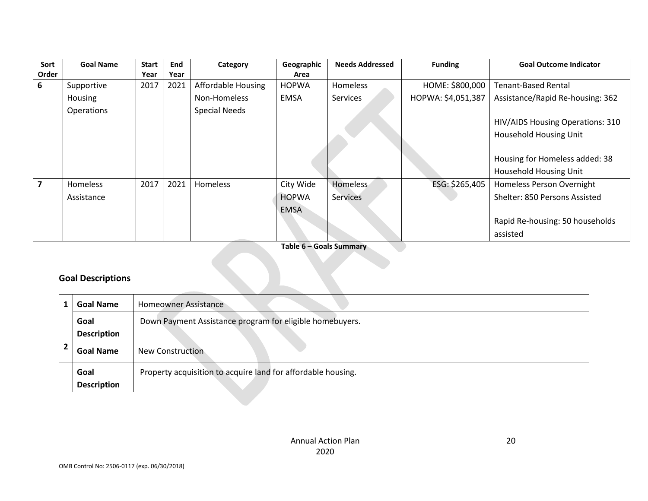| Sort  | <b>Goal Name</b> | <b>Start</b> | End  | Category                  | Geographic   | <b>Needs Addressed</b> | <b>Funding</b>     | <b>Goal Outcome Indicator</b>    |
|-------|------------------|--------------|------|---------------------------|--------------|------------------------|--------------------|----------------------------------|
| Order |                  | Year         | Year |                           | Area         |                        |                    |                                  |
| 6     | Supportive       | 2017         | 2021 | <b>Affordable Housing</b> | <b>HOPWA</b> | Homeless               | HOME: \$800,000    | <b>Tenant-Based Rental</b>       |
|       | Housing          |              |      | Non-Homeless              | <b>EMSA</b>  | <b>Services</b>        | HOPWA: \$4,051,387 | Assistance/Rapid Re-housing: 362 |
|       | Operations       |              |      | <b>Special Needs</b>      |              |                        |                    |                                  |
|       |                  |              |      |                           |              |                        |                    | HIV/AIDS Housing Operations: 310 |
|       |                  |              |      |                           |              |                        |                    | Household Housing Unit           |
|       |                  |              |      |                           |              |                        |                    |                                  |
|       |                  |              |      |                           |              |                        |                    | Housing for Homeless added: 38   |
|       |                  |              |      |                           |              |                        |                    | <b>Household Housing Unit</b>    |
|       | Homeless         | 2017         | 2021 | Homeless                  | City Wide    | Homeless               | ESG: \$265,405     | Homeless Person Overnight        |
|       | Assistance       |              |      |                           | <b>HOPWA</b> | <b>Services</b>        |                    | Shelter: 850 Persons Assisted    |
|       |                  |              |      |                           | <b>EMSA</b>  |                        |                    |                                  |
|       |                  |              |      |                           |              |                        |                    | Rapid Re-housing: 50 households  |
|       |                  |              |      |                           |              |                        |                    | assisted                         |

**Table 6 – Goals Summary**

a s

# **Goal Descriptions**

| <b>Goal Name</b>   | <b>Homeowner Assistance</b>                                  |
|--------------------|--------------------------------------------------------------|
| Goal               | Down Payment Assistance program for eligible homebuyers.     |
| <b>Description</b> |                                                              |
| <b>Goal Name</b>   | New Construction                                             |
| Goal               | Property acquisition to acquire land for affordable housing. |
| <b>Description</b> |                                                              |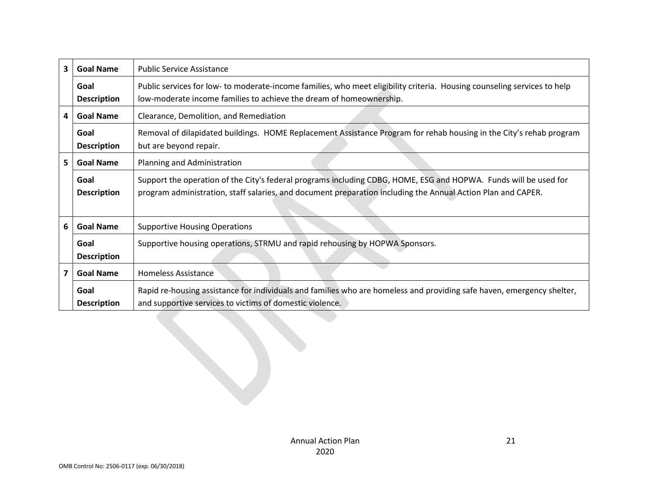| 3 | <b>Goal Name</b>                                           | <b>Public Service Assistance</b>                                                                                                                                                                                                 |  |
|---|------------------------------------------------------------|----------------------------------------------------------------------------------------------------------------------------------------------------------------------------------------------------------------------------------|--|
|   | Goal<br><b>Description</b>                                 | Public services for low- to moderate-income families, who meet eligibility criteria. Housing counseling services to help<br>low-moderate income families to achieve the dream of homeownership.                                  |  |
| 4 | <b>Goal Name</b><br>Clearance, Demolition, and Remediation |                                                                                                                                                                                                                                  |  |
|   | Goal<br><b>Description</b>                                 | Removal of dilapidated buildings. HOME Replacement Assistance Program for rehab housing in the City's rehab program<br>but are beyond repair.                                                                                    |  |
| 5 | <b>Goal Name</b>                                           | Planning and Administration                                                                                                                                                                                                      |  |
|   | Goal<br><b>Description</b>                                 | Support the operation of the City's federal programs including CDBG, HOME, ESG and HOPWA. Funds will be used for<br>program administration, staff salaries, and document preparation including the Annual Action Plan and CAPER. |  |
| 6 | <b>Goal Name</b>                                           | <b>Supportive Housing Operations</b>                                                                                                                                                                                             |  |
|   | Goal<br><b>Description</b>                                 | Supportive housing operations, STRMU and rapid rehousing by HOPWA Sponsors.                                                                                                                                                      |  |
| 7 | <b>Goal Name</b>                                           | <b>Homeless Assistance</b>                                                                                                                                                                                                       |  |
|   | Goal<br><b>Description</b>                                 | Rapid re-housing assistance for individuals and families who are homeless and providing safe haven, emergency shelter,<br>and supportive services to victims of domestic violence.                                               |  |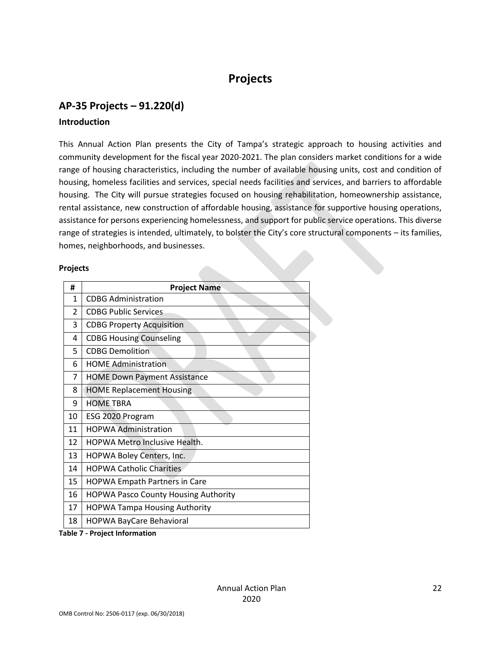# **Projects**

# <span id="page-21-1"></span><span id="page-21-0"></span>**AP-35 Projects – 91.220(d)**

#### **Introduction**

This Annual Action Plan presents the City of Tampa's strategic approach to housing activities and community development for the fiscal year 2020-2021. The plan considers market conditions for a wide range of housing characteristics, including the number of available housing units, cost and condition of housing, homeless facilities and services, special needs facilities and services, and barriers to affordable housing. The City will pursue strategies focused on housing rehabilitation, homeownership assistance, rental assistance, new construction of affordable housing, assistance for supportive housing operations, assistance for persons experiencing homelessness, and support for public service operations. This diverse range of strategies is intended, ultimately, to bolster the City's core structural components – its families, homes, neighborhoods, and businesses.

#### **Projects**

| #              | <b>Project Name</b>                         |
|----------------|---------------------------------------------|
| 1              | <b>CDBG Administration</b>                  |
| $\mathfrak{p}$ | CDBG Public Services                        |
| 3              | <b>CDBG Property Acquisition</b>            |
| 4              | <b>CDBG Housing Counseling</b>              |
| 5.             | <b>CDBG Demolition</b>                      |
| 6              | <b>HOME Administration</b>                  |
| 7              | <b>HOME Down Payment Assistance</b>         |
| 8              | <b>HOME Replacement Housing</b>             |
| 9              | <b>HOME TBRA</b>                            |
| 10             | ESG 2020 Program                            |
| 11             | <b>HOPWA Administration</b>                 |
| 12             | <b>HOPWA Metro Inclusive Health.</b>        |
| 13             | HOPWA Boley Centers, Inc.                   |
| 14             | <b>HOPWA Catholic Charities</b>             |
| 15             | <b>HOPWA Empath Partners in Care</b>        |
| 16             | <b>HOPWA Pasco County Housing Authority</b> |
| 17             | <b>HOPWA Tampa Housing Authority</b>        |
| 18             | <b>HOPWA BayCare Behavioral</b>             |

**Table 7 - Project Information**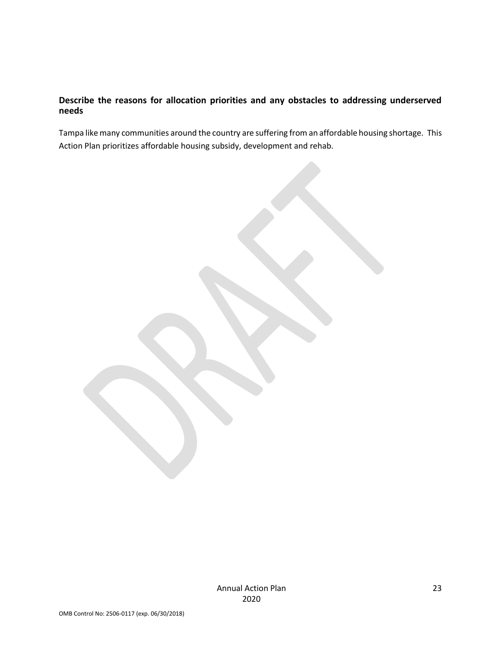### **Describe the reasons for allocation priorities and any obstacles to addressing underserved needs**

Tampa like many communities around the country are suffering from an affordable housing shortage. This Action Plan prioritizes affordable housing subsidy, development and rehab.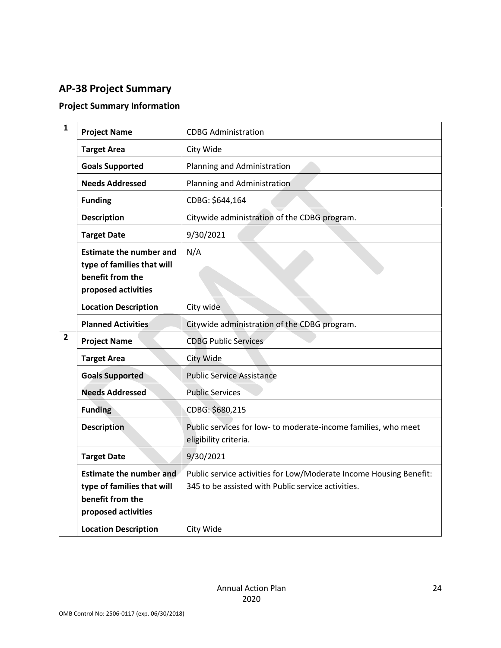# <span id="page-23-0"></span>**AP-38 Project Summary**

# **Project Summary Information**

| $\mathbf{1}$   | <b>Project Name</b>                                                                                     | <b>CDBG Administration</b>                                                                                               |
|----------------|---------------------------------------------------------------------------------------------------------|--------------------------------------------------------------------------------------------------------------------------|
|                | <b>Target Area</b>                                                                                      | City Wide                                                                                                                |
|                | <b>Goals Supported</b>                                                                                  | Planning and Administration                                                                                              |
|                | <b>Needs Addressed</b>                                                                                  | Planning and Administration                                                                                              |
|                | <b>Funding</b>                                                                                          | CDBG: \$644,164                                                                                                          |
|                | <b>Description</b>                                                                                      | Citywide administration of the CDBG program.                                                                             |
|                | <b>Target Date</b>                                                                                      | 9/30/2021                                                                                                                |
|                | <b>Estimate the number and</b><br>type of families that will<br>benefit from the<br>proposed activities | N/A                                                                                                                      |
|                | <b>Location Description</b>                                                                             | City wide                                                                                                                |
|                | <b>Planned Activities</b>                                                                               | Citywide administration of the CDBG program.                                                                             |
| $\overline{2}$ | <b>Project Name</b>                                                                                     | <b>CDBG Public Services</b>                                                                                              |
|                | <b>Target Area</b>                                                                                      | City Wide                                                                                                                |
|                | <b>Goals Supported</b>                                                                                  | <b>Public Service Assistance</b>                                                                                         |
|                | <b>Needs Addressed</b>                                                                                  | <b>Public Services</b>                                                                                                   |
|                | <b>Funding</b>                                                                                          | CDBG: \$680,215                                                                                                          |
|                | <b>Description</b>                                                                                      | Public services for low- to moderate-income families, who meet<br>eligibility criteria.                                  |
|                | <b>Target Date</b>                                                                                      | 9/30/2021                                                                                                                |
|                | <b>Estimate the number and</b><br>type of families that will<br>benefit from the<br>proposed activities | Public service activities for Low/Moderate Income Housing Benefit:<br>345 to be assisted with Public service activities. |
|                | <b>Location Description</b>                                                                             | City Wide                                                                                                                |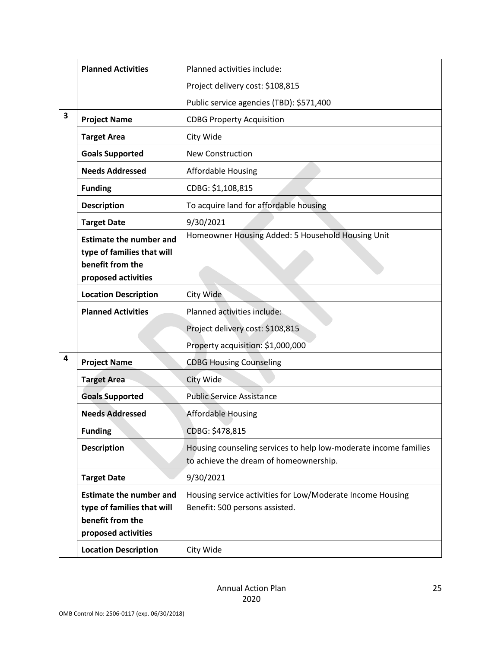|                         | <b>Planned Activities</b>                                                                               | Planned activities include:                                                                                |
|-------------------------|---------------------------------------------------------------------------------------------------------|------------------------------------------------------------------------------------------------------------|
|                         |                                                                                                         | Project delivery cost: \$108,815                                                                           |
|                         |                                                                                                         | Public service agencies (TBD): \$571,400                                                                   |
| $\overline{\mathbf{3}}$ | <b>Project Name</b>                                                                                     | <b>CDBG Property Acquisition</b>                                                                           |
|                         | <b>Target Area</b>                                                                                      | City Wide                                                                                                  |
|                         | <b>Goals Supported</b>                                                                                  | <b>New Construction</b>                                                                                    |
|                         | <b>Needs Addressed</b>                                                                                  | <b>Affordable Housing</b>                                                                                  |
|                         | <b>Funding</b>                                                                                          | CDBG: \$1,108,815                                                                                          |
|                         | <b>Description</b>                                                                                      | To acquire land for affordable housing                                                                     |
|                         | <b>Target Date</b>                                                                                      | 9/30/2021                                                                                                  |
|                         | <b>Estimate the number and</b><br>type of families that will<br>benefit from the<br>proposed activities | Homeowner Housing Added: 5 Household Housing Unit                                                          |
|                         | <b>Location Description</b>                                                                             | City Wide                                                                                                  |
|                         | <b>Planned Activities</b>                                                                               | Planned activities include:                                                                                |
|                         |                                                                                                         | Project delivery cost: \$108,815                                                                           |
|                         |                                                                                                         | Property acquisition: \$1,000,000                                                                          |
| 4                       | <b>Project Name</b>                                                                                     | <b>CDBG Housing Counseling</b>                                                                             |
|                         | <b>Target Area</b>                                                                                      | City Wide                                                                                                  |
|                         | <b>Goals Supported</b>                                                                                  | <b>Public Service Assistance</b>                                                                           |
|                         | <b>Needs Addressed</b>                                                                                  | <b>Affordable Housing</b>                                                                                  |
|                         | <b>Funding</b>                                                                                          | CDBG: \$478,815                                                                                            |
|                         | <b>Description</b>                                                                                      | Housing counseling services to help low-moderate income families<br>to achieve the dream of homeownership. |
|                         | <b>Target Date</b>                                                                                      | 9/30/2021                                                                                                  |
|                         | <b>Estimate the number and</b><br>type of families that will<br>benefit from the<br>proposed activities | Housing service activities for Low/Moderate Income Housing<br>Benefit: 500 persons assisted.               |
|                         | <b>Location Description</b>                                                                             | City Wide                                                                                                  |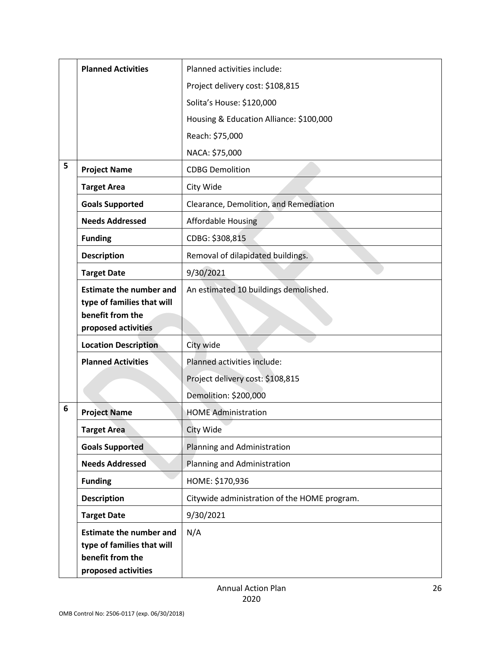|   | <b>Planned Activities</b>                                                                               | Planned activities include:                  |
|---|---------------------------------------------------------------------------------------------------------|----------------------------------------------|
|   |                                                                                                         | Project delivery cost: \$108,815             |
|   |                                                                                                         | Solita's House: \$120,000                    |
|   |                                                                                                         | Housing & Education Alliance: \$100,000      |
|   |                                                                                                         | Reach: \$75,000                              |
|   |                                                                                                         | NACA: \$75,000                               |
| 5 | <b>Project Name</b>                                                                                     | <b>CDBG Demolition</b>                       |
|   | <b>Target Area</b>                                                                                      | City Wide                                    |
|   | <b>Goals Supported</b>                                                                                  | Clearance, Demolition, and Remediation       |
|   | <b>Needs Addressed</b>                                                                                  | <b>Affordable Housing</b>                    |
|   | <b>Funding</b>                                                                                          | CDBG: \$308,815                              |
|   | <b>Description</b>                                                                                      | Removal of dilapidated buildings.            |
|   | <b>Target Date</b>                                                                                      | 9/30/2021                                    |
|   | <b>Estimate the number and</b><br>type of families that will<br>benefit from the<br>proposed activities | An estimated 10 buildings demolished.        |
|   | <b>Location Description</b>                                                                             | City wide                                    |
|   | <b>Planned Activities</b>                                                                               | Planned activities include:                  |
|   |                                                                                                         | Project delivery cost: \$108,815             |
|   |                                                                                                         | Demolition: \$200,000                        |
| 6 | <b>Project Name</b>                                                                                     | <b>HOME Administration</b>                   |
|   | <b>Target Area</b>                                                                                      | City Wide                                    |
|   | <b>Goals Supported</b>                                                                                  | Planning and Administration                  |
|   | <b>Needs Addressed</b>                                                                                  | Planning and Administration                  |
|   | <b>Funding</b>                                                                                          | HOME: \$170,936                              |
|   | <b>Description</b>                                                                                      | Citywide administration of the HOME program. |
|   | <b>Target Date</b>                                                                                      | 9/30/2021                                    |
|   | <b>Estimate the number and</b><br>type of families that will<br>benefit from the<br>proposed activities | N/A                                          |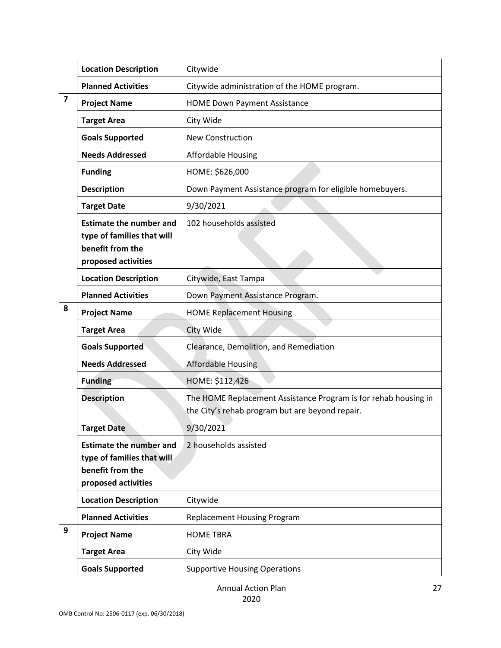|   | <b>Location Description</b>                                                                             | Citywide                                                                                                           |
|---|---------------------------------------------------------------------------------------------------------|--------------------------------------------------------------------------------------------------------------------|
|   | <b>Planned Activities</b>                                                                               | Citywide administration of the HOME program.                                                                       |
| 7 | <b>Project Name</b>                                                                                     | <b>HOME Down Payment Assistance</b>                                                                                |
|   | <b>Target Area</b>                                                                                      | City Wide                                                                                                          |
|   | <b>Goals Supported</b>                                                                                  | <b>New Construction</b>                                                                                            |
|   | <b>Needs Addressed</b>                                                                                  | <b>Affordable Housing</b>                                                                                          |
|   | <b>Funding</b>                                                                                          | HOME: \$626,000                                                                                                    |
|   | <b>Description</b>                                                                                      | Down Payment Assistance program for eligible homebuyers.                                                           |
|   | <b>Target Date</b>                                                                                      | 9/30/2021                                                                                                          |
|   | <b>Estimate the number and</b><br>type of families that will<br>benefit from the<br>proposed activities | 102 households assisted                                                                                            |
|   | <b>Location Description</b>                                                                             | Citywide, East Tampa                                                                                               |
|   | <b>Planned Activities</b>                                                                               | Down Payment Assistance Program.                                                                                   |
| 8 | <b>Project Name</b>                                                                                     | <b>HOME Replacement Housing</b>                                                                                    |
|   | <b>Target Area</b>                                                                                      | City Wide                                                                                                          |
|   | <b>Goals Supported</b>                                                                                  | Clearance, Demolition, and Remediation                                                                             |
|   | <b>Needs Addressed</b>                                                                                  | <b>Affordable Housing</b>                                                                                          |
|   | <b>Funding</b>                                                                                          | HOME: \$112,426                                                                                                    |
|   | <b>Description</b>                                                                                      | The HOME Replacement Assistance Program is for rehab housing in<br>the City's rehab program but are beyond repair. |
|   | <b>Target Date</b>                                                                                      | 9/30/2021                                                                                                          |
|   | <b>Estimate the number and</b><br>type of families that will<br>benefit from the<br>proposed activities | 2 households assisted                                                                                              |
|   | <b>Location Description</b>                                                                             | Citywide                                                                                                           |
|   | <b>Planned Activities</b>                                                                               | <b>Replacement Housing Program</b>                                                                                 |
| 9 | <b>Project Name</b>                                                                                     | <b>HOME TBRA</b>                                                                                                   |
|   | <b>Target Area</b>                                                                                      | City Wide                                                                                                          |
|   | <b>Goals Supported</b>                                                                                  | <b>Supportive Housing Operations</b>                                                                               |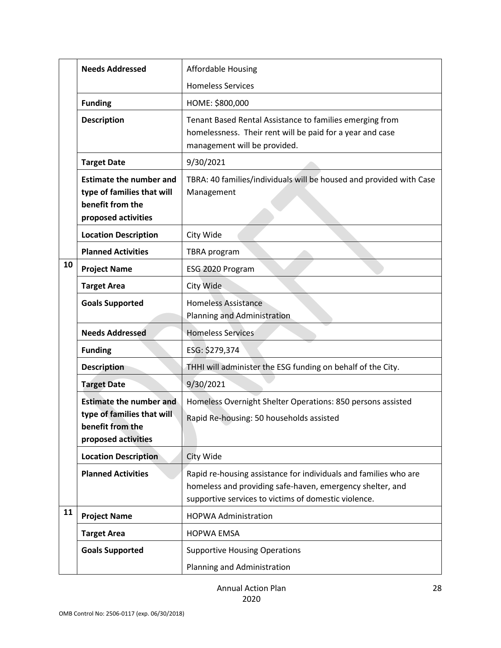|    | <b>Needs Addressed</b>                                                                                  | <b>Affordable Housing</b>                                                                                                                                                             |
|----|---------------------------------------------------------------------------------------------------------|---------------------------------------------------------------------------------------------------------------------------------------------------------------------------------------|
|    |                                                                                                         | <b>Homeless Services</b>                                                                                                                                                              |
|    | <b>Funding</b>                                                                                          | HOME: \$800,000                                                                                                                                                                       |
|    | <b>Description</b>                                                                                      | Tenant Based Rental Assistance to families emerging from<br>homelessness. Their rent will be paid for a year and case<br>management will be provided.                                 |
|    | <b>Target Date</b>                                                                                      | 9/30/2021                                                                                                                                                                             |
|    | <b>Estimate the number and</b><br>type of families that will<br>benefit from the<br>proposed activities | TBRA: 40 families/individuals will be housed and provided with Case<br>Management                                                                                                     |
|    | <b>Location Description</b>                                                                             | City Wide                                                                                                                                                                             |
|    | <b>Planned Activities</b>                                                                               | TBRA program                                                                                                                                                                          |
| 10 | <b>Project Name</b>                                                                                     | ESG 2020 Program                                                                                                                                                                      |
|    | <b>Target Area</b>                                                                                      | City Wide                                                                                                                                                                             |
|    | <b>Goals Supported</b>                                                                                  | <b>Homeless Assistance</b><br>Planning and Administration                                                                                                                             |
|    | <b>Needs Addressed</b>                                                                                  | <b>Homeless Services</b>                                                                                                                                                              |
|    | <b>Funding</b>                                                                                          | ESG: \$279,374                                                                                                                                                                        |
|    | <b>Description</b>                                                                                      | THHI will administer the ESG funding on behalf of the City.                                                                                                                           |
|    | <b>Target Date</b>                                                                                      | 9/30/2021                                                                                                                                                                             |
|    | <b>Estimate the number and</b><br>type of families that will<br>benefit from the<br>proposed activities | Homeless Overnight Shelter Operations: 850 persons assisted<br>Rapid Re-housing: 50 households assisted                                                                               |
|    | <b>Location Description</b>                                                                             | City Wide                                                                                                                                                                             |
|    | <b>Planned Activities</b>                                                                               | Rapid re-housing assistance for individuals and families who are<br>homeless and providing safe-haven, emergency shelter, and<br>supportive services to victims of domestic violence. |
| 11 | <b>Project Name</b>                                                                                     | <b>HOPWA Administration</b>                                                                                                                                                           |
|    | <b>Target Area</b>                                                                                      | <b>HOPWA EMSA</b>                                                                                                                                                                     |
|    | <b>Goals Supported</b>                                                                                  | <b>Supportive Housing Operations</b>                                                                                                                                                  |
|    |                                                                                                         | Planning and Administration                                                                                                                                                           |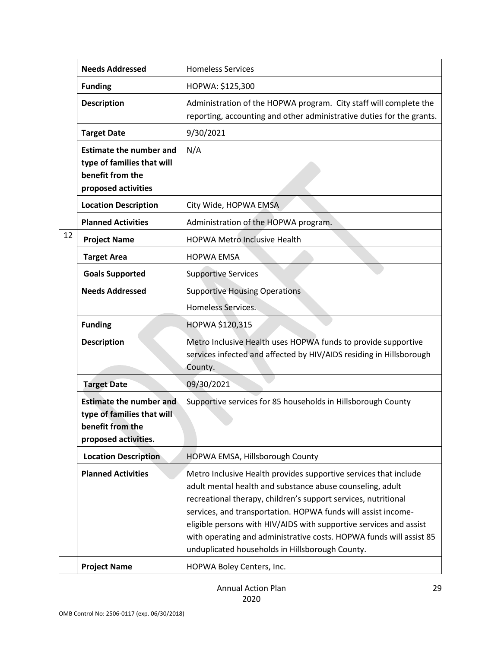|    | <b>Needs Addressed</b>                                                                                   | <b>Homeless Services</b>                                                                                                                                                                                                                                                                                                                                                                                                                                         |
|----|----------------------------------------------------------------------------------------------------------|------------------------------------------------------------------------------------------------------------------------------------------------------------------------------------------------------------------------------------------------------------------------------------------------------------------------------------------------------------------------------------------------------------------------------------------------------------------|
|    | <b>Funding</b>                                                                                           | HOPWA: \$125,300                                                                                                                                                                                                                                                                                                                                                                                                                                                 |
|    | <b>Description</b>                                                                                       | Administration of the HOPWA program. City staff will complete the<br>reporting, accounting and other administrative duties for the grants.                                                                                                                                                                                                                                                                                                                       |
|    | <b>Target Date</b>                                                                                       | 9/30/2021                                                                                                                                                                                                                                                                                                                                                                                                                                                        |
|    | <b>Estimate the number and</b><br>type of families that will<br>benefit from the<br>proposed activities  | N/A                                                                                                                                                                                                                                                                                                                                                                                                                                                              |
|    | <b>Location Description</b>                                                                              | City Wide, HOPWA EMSA                                                                                                                                                                                                                                                                                                                                                                                                                                            |
|    | <b>Planned Activities</b>                                                                                | Administration of the HOPWA program.                                                                                                                                                                                                                                                                                                                                                                                                                             |
| 12 | <b>Project Name</b>                                                                                      | <b>HOPWA Metro Inclusive Health</b>                                                                                                                                                                                                                                                                                                                                                                                                                              |
|    | <b>Target Area</b>                                                                                       | <b>HOPWA EMSA</b>                                                                                                                                                                                                                                                                                                                                                                                                                                                |
|    | <b>Goals Supported</b>                                                                                   | <b>Supportive Services</b>                                                                                                                                                                                                                                                                                                                                                                                                                                       |
|    | <b>Needs Addressed</b>                                                                                   | <b>Supportive Housing Operations</b><br>Homeless Services.                                                                                                                                                                                                                                                                                                                                                                                                       |
|    | <b>Funding</b>                                                                                           | HOPWA \$120,315                                                                                                                                                                                                                                                                                                                                                                                                                                                  |
|    | <b>Description</b>                                                                                       | Metro Inclusive Health uses HOPWA funds to provide supportive<br>services infected and affected by HIV/AIDS residing in Hillsborough<br>County.                                                                                                                                                                                                                                                                                                                  |
|    | <b>Target Date</b>                                                                                       | 09/30/2021                                                                                                                                                                                                                                                                                                                                                                                                                                                       |
|    | <b>Estimate the number and</b><br>type of families that will<br>benefit from the<br>proposed activities. | Supportive services for 85 households in Hillsborough County                                                                                                                                                                                                                                                                                                                                                                                                     |
|    | <b>Location Description</b>                                                                              | HOPWA EMSA, Hillsborough County                                                                                                                                                                                                                                                                                                                                                                                                                                  |
|    | <b>Planned Activities</b>                                                                                | Metro Inclusive Health provides supportive services that include<br>adult mental health and substance abuse counseling, adult<br>recreational therapy, children's support services, nutritional<br>services, and transportation. HOPWA funds will assist income-<br>eligible persons with HIV/AIDS with supportive services and assist<br>with operating and administrative costs. HOPWA funds will assist 85<br>unduplicated households in Hillsborough County. |
|    | <b>Project Name</b>                                                                                      | HOPWA Boley Centers, Inc.                                                                                                                                                                                                                                                                                                                                                                                                                                        |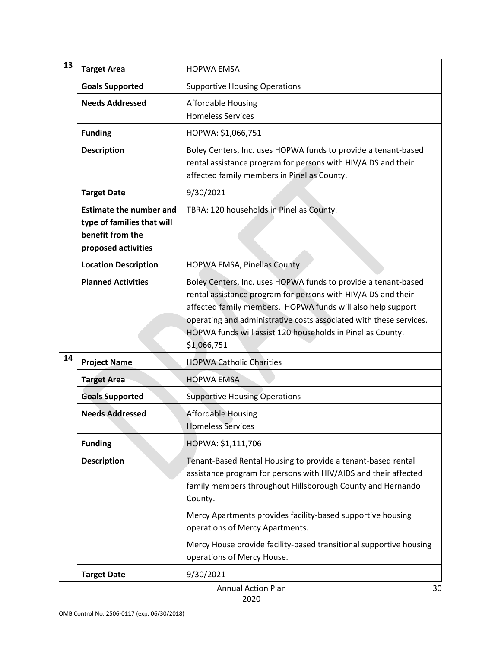| 13 | <b>Target Area</b>                                                                                      | <b>HOPWA EMSA</b>                                                                                                                                                                                                                                                                                                                                 |
|----|---------------------------------------------------------------------------------------------------------|---------------------------------------------------------------------------------------------------------------------------------------------------------------------------------------------------------------------------------------------------------------------------------------------------------------------------------------------------|
|    | <b>Goals Supported</b>                                                                                  | <b>Supportive Housing Operations</b>                                                                                                                                                                                                                                                                                                              |
|    | <b>Needs Addressed</b>                                                                                  | <b>Affordable Housing</b><br><b>Homeless Services</b>                                                                                                                                                                                                                                                                                             |
|    | <b>Funding</b>                                                                                          | HOPWA: \$1,066,751                                                                                                                                                                                                                                                                                                                                |
|    | <b>Description</b>                                                                                      | Boley Centers, Inc. uses HOPWA funds to provide a tenant-based<br>rental assistance program for persons with HIV/AIDS and their<br>affected family members in Pinellas County.                                                                                                                                                                    |
|    | <b>Target Date</b>                                                                                      | 9/30/2021                                                                                                                                                                                                                                                                                                                                         |
|    | <b>Estimate the number and</b><br>type of families that will<br>benefit from the<br>proposed activities | TBRA: 120 households in Pinellas County.                                                                                                                                                                                                                                                                                                          |
|    | <b>Location Description</b>                                                                             | HOPWA EMSA, Pinellas County                                                                                                                                                                                                                                                                                                                       |
|    | <b>Planned Activities</b>                                                                               | Boley Centers, Inc. uses HOPWA funds to provide a tenant-based<br>rental assistance program for persons with HIV/AIDS and their<br>affected family members. HOPWA funds will also help support<br>operating and administrative costs associated with these services.<br>HOPWA funds will assist 120 households in Pinellas County.<br>\$1,066,751 |
| 14 | <b>Project Name</b>                                                                                     | <b>HOPWA Catholic Charities</b>                                                                                                                                                                                                                                                                                                                   |
|    | <b>Target Area</b>                                                                                      | <b>HOPWA EMSA</b>                                                                                                                                                                                                                                                                                                                                 |
|    | <b>Goals Supported</b>                                                                                  | <b>Supportive Housing Operations</b>                                                                                                                                                                                                                                                                                                              |
|    | <b>Needs Addressed</b>                                                                                  | <b>Affordable Housing</b><br><b>Homeless Services</b>                                                                                                                                                                                                                                                                                             |
|    | <b>Funding</b>                                                                                          | HOPWA: \$1,111,706                                                                                                                                                                                                                                                                                                                                |
|    | <b>Description</b>                                                                                      | Tenant-Based Rental Housing to provide a tenant-based rental<br>assistance program for persons with HIV/AIDS and their affected<br>family members throughout Hillsborough County and Hernando<br>County.                                                                                                                                          |
|    |                                                                                                         | Mercy Apartments provides facility-based supportive housing<br>operations of Mercy Apartments.                                                                                                                                                                                                                                                    |
|    |                                                                                                         | Mercy House provide facility-based transitional supportive housing<br>operations of Mercy House.                                                                                                                                                                                                                                                  |
|    | <b>Target Date</b>                                                                                      | 9/30/2021                                                                                                                                                                                                                                                                                                                                         |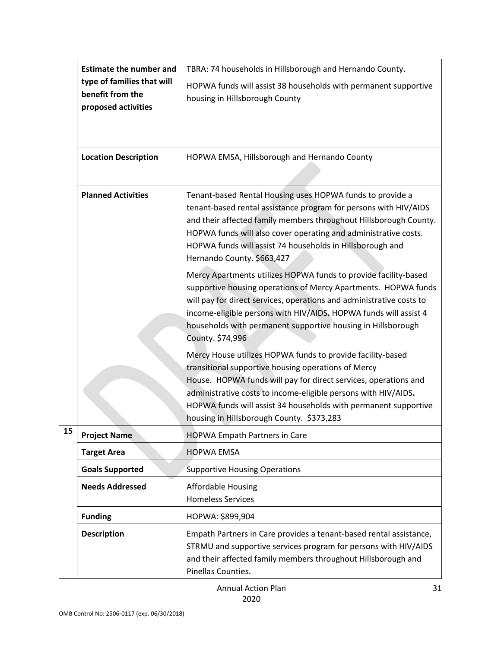|    | <b>Estimate the number and</b><br>type of families that will<br>benefit from the<br>proposed activities | TBRA: 74 households in Hillsborough and Hernando County.<br>HOPWA funds will assist 38 households with permanent supportive<br>housing in Hillsborough County                                                                                                                                                                                                          |
|----|---------------------------------------------------------------------------------------------------------|------------------------------------------------------------------------------------------------------------------------------------------------------------------------------------------------------------------------------------------------------------------------------------------------------------------------------------------------------------------------|
|    | <b>Location Description</b>                                                                             | HOPWA EMSA, Hillsborough and Hernando County                                                                                                                                                                                                                                                                                                                           |
|    | <b>Planned Activities</b>                                                                               | Tenant-based Rental Housing uses HOPWA funds to provide a<br>tenant-based rental assistance program for persons with HIV/AIDS<br>and their affected family members throughout Hillsborough County.<br>HOPWA funds will also cover operating and administrative costs.<br>HOPWA funds will assist 74 households in Hillsborough and<br>Hernando County. \$663,427       |
|    |                                                                                                         | Mercy Apartments utilizes HOPWA funds to provide facility-based<br>supportive housing operations of Mercy Apartments. HOPWA funds<br>will pay for direct services, operations and administrative costs to<br>income-eligible persons with HIV/AIDS. HOPWA funds will assist 4<br>households with permanent supportive housing in Hillsborough<br>County. \$74,996      |
|    |                                                                                                         | Mercy House utilizes HOPWA funds to provide facility-based<br>transitional supportive housing operations of Mercy<br>House. HOPWA funds will pay for direct services, operations and<br>administrative costs to income-eligible persons with HIV/AIDS.<br>HOPWA funds will assist 34 households with permanent supportive<br>housing in Hillsborough County. \$373,283 |
| 15 | <b>Project Name</b>                                                                                     | <b>HOPWA Empath Partners in Care</b>                                                                                                                                                                                                                                                                                                                                   |
|    | <b>Target Area</b>                                                                                      | <b>HOPWA EMSA</b>                                                                                                                                                                                                                                                                                                                                                      |
|    | <b>Goals Supported</b>                                                                                  | <b>Supportive Housing Operations</b>                                                                                                                                                                                                                                                                                                                                   |
|    | <b>Needs Addressed</b>                                                                                  | <b>Affordable Housing</b><br><b>Homeless Services</b>                                                                                                                                                                                                                                                                                                                  |
|    | <b>Funding</b>                                                                                          | HOPWA: \$899,904                                                                                                                                                                                                                                                                                                                                                       |
|    | <b>Description</b>                                                                                      | Empath Partners in Care provides a tenant-based rental assistance,<br>STRMU and supportive services program for persons with HIV/AIDS<br>and their affected family members throughout Hillsborough and<br>Pinellas Counties.                                                                                                                                           |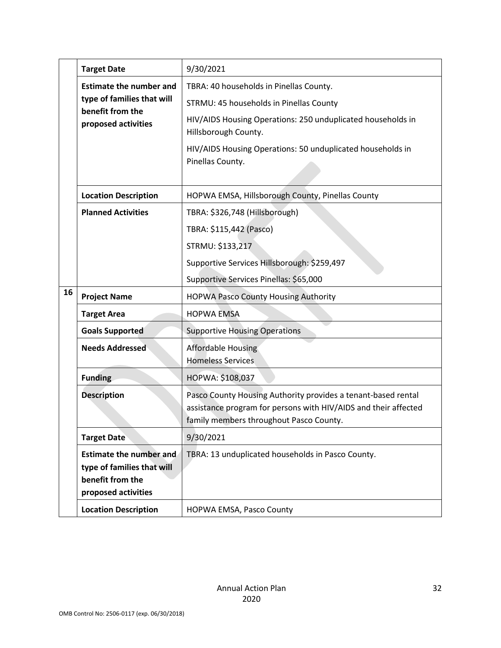|    | <b>Target Date</b>                                                                                      | 9/30/2021                                                                                                                                                                                                                                                   |
|----|---------------------------------------------------------------------------------------------------------|-------------------------------------------------------------------------------------------------------------------------------------------------------------------------------------------------------------------------------------------------------------|
|    | <b>Estimate the number and</b><br>type of families that will<br>benefit from the<br>proposed activities | TBRA: 40 households in Pinellas County.<br>STRMU: 45 households in Pinellas County<br>HIV/AIDS Housing Operations: 250 unduplicated households in<br>Hillsborough County.<br>HIV/AIDS Housing Operations: 50 unduplicated households in<br>Pinellas County. |
|    | <b>Location Description</b>                                                                             | HOPWA EMSA, Hillsborough County, Pinellas County                                                                                                                                                                                                            |
|    | <b>Planned Activities</b>                                                                               | TBRA: \$326,748 (Hillsborough)<br>TBRA: \$115,442 (Pasco)<br>STRMU: \$133,217<br>Supportive Services Hillsborough: \$259,497                                                                                                                                |
|    |                                                                                                         | Supportive Services Pinellas: \$65,000                                                                                                                                                                                                                      |
| 16 | <b>Project Name</b>                                                                                     | <b>HOPWA Pasco County Housing Authority</b>                                                                                                                                                                                                                 |
|    | <b>Target Area</b>                                                                                      | <b>HOPWA EMSA</b>                                                                                                                                                                                                                                           |
|    | <b>Goals Supported</b>                                                                                  | <b>Supportive Housing Operations</b>                                                                                                                                                                                                                        |
|    | <b>Needs Addressed</b>                                                                                  | <b>Affordable Housing</b><br><b>Homeless Services</b>                                                                                                                                                                                                       |
|    | <b>Funding</b>                                                                                          | HOPWA: \$108,037                                                                                                                                                                                                                                            |
|    | <b>Description</b>                                                                                      | Pasco County Housing Authority provides a tenant-based rental<br>assistance program for persons with HIV/AIDS and their affected<br>family members throughout Pasco County.                                                                                 |
|    | <b>Target Date</b>                                                                                      | 9/30/2021                                                                                                                                                                                                                                                   |
|    | <b>Estimate the number and</b><br>type of families that will<br>benefit from the<br>proposed activities | TBRA: 13 unduplicated households in Pasco County.                                                                                                                                                                                                           |
|    | <b>Location Description</b>                                                                             | HOPWA EMSA, Pasco County                                                                                                                                                                                                                                    |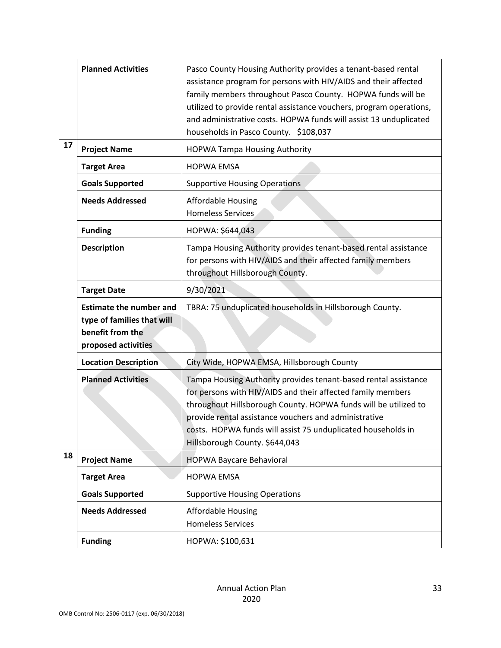|    | <b>Planned Activities</b>                                                                               | Pasco County Housing Authority provides a tenant-based rental<br>assistance program for persons with HIV/AIDS and their affected<br>family members throughout Pasco County. HOPWA funds will be<br>utilized to provide rental assistance vouchers, program operations,<br>and administrative costs. HOPWA funds will assist 13 unduplicated<br>households in Pasco County. \$108,037 |
|----|---------------------------------------------------------------------------------------------------------|--------------------------------------------------------------------------------------------------------------------------------------------------------------------------------------------------------------------------------------------------------------------------------------------------------------------------------------------------------------------------------------|
| 17 | <b>Project Name</b>                                                                                     | <b>HOPWA Tampa Housing Authority</b>                                                                                                                                                                                                                                                                                                                                                 |
|    | <b>Target Area</b>                                                                                      | <b>HOPWA EMSA</b>                                                                                                                                                                                                                                                                                                                                                                    |
|    | <b>Goals Supported</b>                                                                                  | <b>Supportive Housing Operations</b>                                                                                                                                                                                                                                                                                                                                                 |
|    | <b>Needs Addressed</b>                                                                                  | <b>Affordable Housing</b><br><b>Homeless Services</b>                                                                                                                                                                                                                                                                                                                                |
|    | <b>Funding</b>                                                                                          | HOPWA: \$644,043                                                                                                                                                                                                                                                                                                                                                                     |
|    | <b>Description</b>                                                                                      | Tampa Housing Authority provides tenant-based rental assistance<br>for persons with HIV/AIDS and their affected family members<br>throughout Hillsborough County.                                                                                                                                                                                                                    |
|    | <b>Target Date</b>                                                                                      | 9/30/2021                                                                                                                                                                                                                                                                                                                                                                            |
|    | <b>Estimate the number and</b><br>type of families that will<br>benefit from the<br>proposed activities | TBRA: 75 unduplicated households in Hillsborough County.                                                                                                                                                                                                                                                                                                                             |
|    | <b>Location Description</b>                                                                             | City Wide, HOPWA EMSA, Hillsborough County                                                                                                                                                                                                                                                                                                                                           |
|    | <b>Planned Activities</b>                                                                               | Tampa Housing Authority provides tenant-based rental assistance<br>for persons with HIV/AIDS and their affected family members<br>throughout Hillsborough County. HOPWA funds will be utilized to<br>provide rental assistance vouchers and administrative<br>costs. HOPWA funds will assist 75 unduplicated households in<br>Hillsborough County. \$644,043                         |
| 18 | <b>Project Name</b>                                                                                     | <b>HOPWA Baycare Behavioral</b>                                                                                                                                                                                                                                                                                                                                                      |
|    | <b>Target Area</b>                                                                                      | <b>HOPWA EMSA</b>                                                                                                                                                                                                                                                                                                                                                                    |
|    | <b>Goals Supported</b>                                                                                  | <b>Supportive Housing Operations</b>                                                                                                                                                                                                                                                                                                                                                 |
|    | <b>Needs Addressed</b>                                                                                  | <b>Affordable Housing</b><br><b>Homeless Services</b>                                                                                                                                                                                                                                                                                                                                |
|    | <b>Funding</b>                                                                                          | HOPWA: \$100,631                                                                                                                                                                                                                                                                                                                                                                     |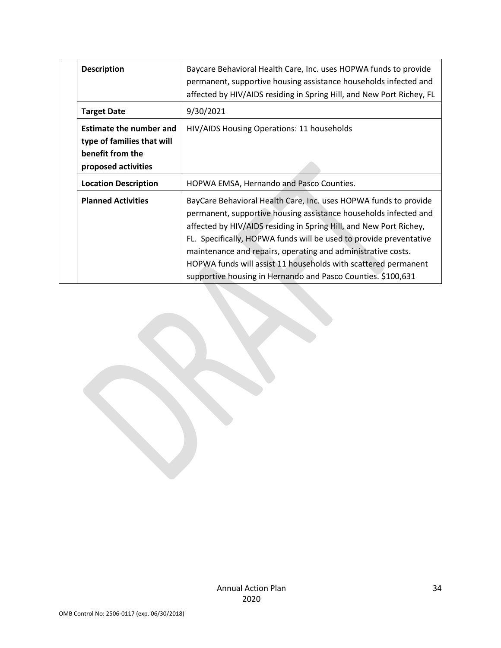| <b>Description</b>                                                                                      | Baycare Behavioral Health Care, Inc. uses HOPWA funds to provide<br>permanent, supportive housing assistance households infected and<br>affected by HIV/AIDS residing in Spring Hill, and New Port Richey, FL                                                                                                                                                                                                                                                                      |
|---------------------------------------------------------------------------------------------------------|------------------------------------------------------------------------------------------------------------------------------------------------------------------------------------------------------------------------------------------------------------------------------------------------------------------------------------------------------------------------------------------------------------------------------------------------------------------------------------|
| <b>Target Date</b>                                                                                      | 9/30/2021                                                                                                                                                                                                                                                                                                                                                                                                                                                                          |
| <b>Estimate the number and</b><br>type of families that will<br>benefit from the<br>proposed activities | HIV/AIDS Housing Operations: 11 households                                                                                                                                                                                                                                                                                                                                                                                                                                         |
| <b>Location Description</b>                                                                             | HOPWA EMSA, Hernando and Pasco Counties.                                                                                                                                                                                                                                                                                                                                                                                                                                           |
| <b>Planned Activities</b>                                                                               | BayCare Behavioral Health Care, Inc. uses HOPWA funds to provide<br>permanent, supportive housing assistance households infected and<br>affected by HIV/AIDS residing in Spring Hill, and New Port Richey,<br>FL. Specifically, HOPWA funds will be used to provide preventative<br>maintenance and repairs, operating and administrative costs.<br>HOPWA funds will assist 11 households with scattered permanent<br>supportive housing in Hernando and Pasco Counties. \$100,631 |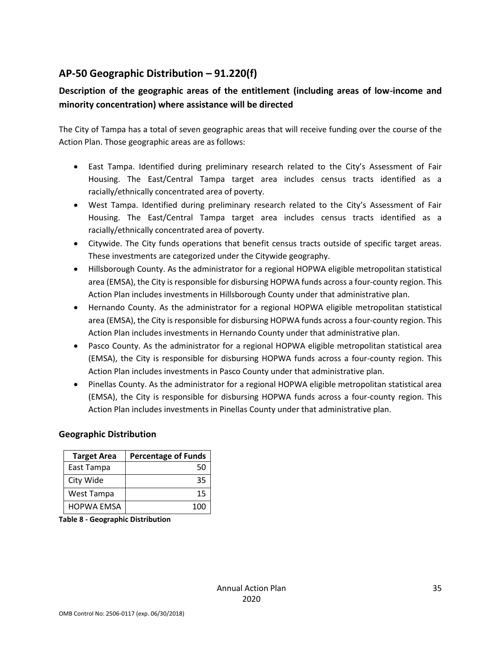# <span id="page-34-0"></span>**AP-50 Geographic Distribution – 91.220(f)**

# **Description of the geographic areas of the entitlement (including areas of low-income and minority concentration) where assistance will be directed**

The City of Tampa has a total of seven geographic areas that will receive funding over the course of the Action Plan. Those geographic areas are as follows:

- East Tampa. Identified during preliminary research related to the City's Assessment of Fair Housing. The East/Central Tampa target area includes census tracts identified as a racially/ethnically concentrated area of poverty.
- West Tampa. Identified during preliminary research related to the City's Assessment of Fair Housing. The East/Central Tampa target area includes census tracts identified as a racially/ethnically concentrated area of poverty.
- Citywide. The City funds operations that benefit census tracts outside of specific target areas. These investments are categorized under the Citywide geography.
- Hillsborough County. As the administrator for a regional HOPWA eligible metropolitan statistical area (EMSA), the City is responsible for disbursing HOPWA funds across a four-county region. This Action Plan includes investments in Hillsborough County under that administrative plan.
- Hernando County. As the administrator for a regional HOPWA eligible metropolitan statistical area (EMSA), the City is responsible for disbursing HOPWA funds across a four-county region. This Action Plan includes investments in Hernando County under that administrative plan.
- Pasco County. As the administrator for a regional HOPWA eligible metropolitan statistical area (EMSA), the City is responsible for disbursing HOPWA funds across a four-county region. This Action Plan includes investments in Pasco County under that administrative plan.
- Pinellas County. As the administrator for a regional HOPWA eligible metropolitan statistical area (EMSA), the City is responsible for disbursing HOPWA funds across a four-county region. This Action Plan includes investments in Pinellas County under that administrative plan.

### **Geographic Distribution**

| <b>Target Area</b> | <b>Percentage of Funds</b> |
|--------------------|----------------------------|
| East Tampa         | 50                         |
| City Wide          | 35                         |
| West Tampa         | 15                         |
| <b>HOPWA EMSA</b>  | 100                        |

**Table 8 - Geographic Distribution**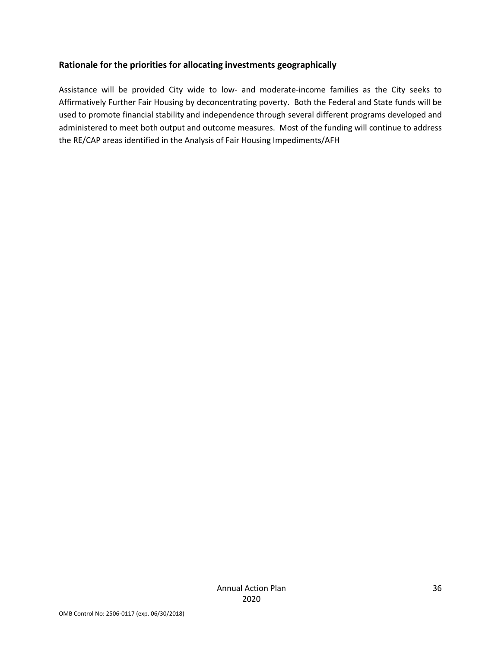### **Rationale for the priorities for allocating investments geographically**

Assistance will be provided City wide to low- and moderate-income families as the City seeks to Affirmatively Further Fair Housing by deconcentrating poverty. Both the Federal and State funds will be used to promote financial stability and independence through several different programs developed and administered to meet both output and outcome measures. Most of the funding will continue to address the RE/CAP areas identified in the Analysis of Fair Housing Impediments/AFH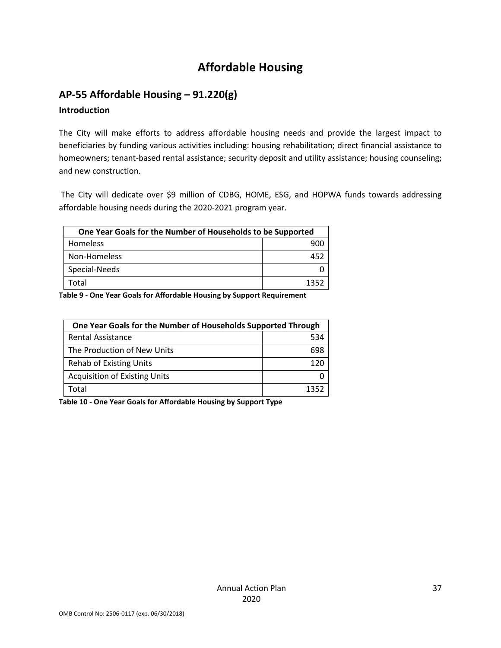# **Affordable Housing**

# <span id="page-36-1"></span><span id="page-36-0"></span>**AP-55 Affordable Housing – 91.220(g)**

### **Introduction**

The City will make efforts to address affordable housing needs and provide the largest impact to beneficiaries by funding various activities including: housing rehabilitation; direct financial assistance to homeowners; tenant-based rental assistance; security deposit and utility assistance; housing counseling; and new construction.

The City will dedicate over \$9 million of CDBG, HOME, ESG, and HOPWA funds towards addressing affordable housing needs during the 2020-2021 program year.

| One Year Goals for the Number of Households to be Supported |     |  |
|-------------------------------------------------------------|-----|--|
| Homeless                                                    |     |  |
| Non-Homeless                                                | 452 |  |
| Special-Needs                                               |     |  |
| Total                                                       |     |  |

**Table 9 - One Year Goals for Affordable Housing by Support Requirement**

| One Year Goals for the Number of Households Supported Through |      |
|---------------------------------------------------------------|------|
| <b>Rental Assistance</b>                                      | 534  |
| The Production of New Units                                   | 698  |
| <b>Rehab of Existing Units</b>                                |      |
| <b>Acquisition of Existing Units</b>                          |      |
| Total                                                         | 1352 |

**Table 10 - One Year Goals for Affordable Housing by Support Type**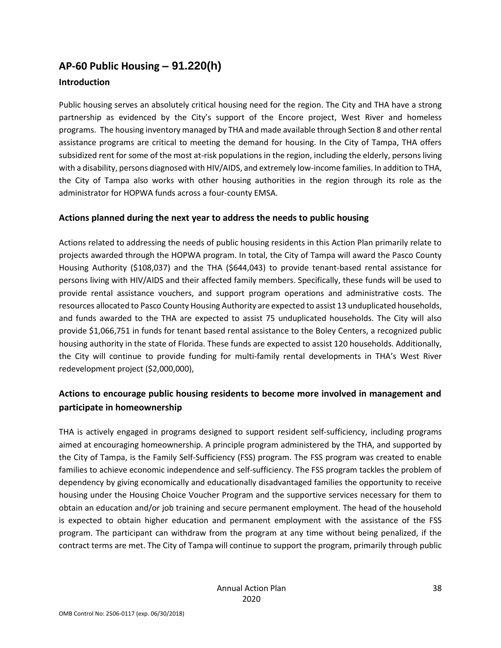# <span id="page-37-0"></span>**AP-60 Public Housing** *–* **91.220(h)**

### **Introduction**

Public housing serves an absolutely critical housing need for the region. The City and THA have a strong partnership as evidenced by the City's support of the Encore project, West River and homeless programs. The housing inventory managed by THA and made available through Section 8 and other rental assistance programs are critical to meeting the demand for housing. In the City of Tampa, THA offers subsidized rent for some of the most at-risk populations in the region, including the elderly, persons living with a disability, persons diagnosed with HIV/AIDS, and extremely low-income families. In addition to THA, the City of Tampa also works with other housing authorities in the region through its role as the administrator for HOPWA funds across a four-county EMSA.

# **Actions planned during the next year to address the needs to public housing**

Actions related to addressing the needs of public housing residents in this Action Plan primarily relate to projects awarded through the HOPWA program. In total, the City of Tampa will award the Pasco County Housing Authority (\$108,037) and the THA (\$644,043) to provide tenant-based rental assistance for persons living with HIV/AIDS and their affected family members. Specifically, these funds will be used to provide rental assistance vouchers, and support program operations and administrative costs. The resources allocated to Pasco County Housing Authority are expected to assist 13 unduplicated households, and funds awarded to the THA are expected to assist 75 unduplicated households. The City will also provide \$1,066,751 in funds for tenant based rental assistance to the Boley Centers, a recognized public housing authority in the state of Florida. These funds are expected to assist 120 households. Additionally, the City will continue to provide funding for multi-family rental developments in THA's West River redevelopment project (\$2,000,000),

# **Actions to encourage public housing residents to become more involved in management and participate in homeownership**

THA is actively engaged in programs designed to support resident self-sufficiency, including programs aimed at encouraging homeownership. A principle program administered by the THA, and supported by the City of Tampa, is the Family Self-Sufficiency (FSS) program. The FSS program was created to enable families to achieve economic independence and self-sufficiency. The FSS program tackles the problem of dependency by giving economically and educationally disadvantaged families the opportunity to receive housing under the Housing Choice Voucher Program and the supportive services necessary for them to obtain an education and/or job training and secure permanent employment. The head of the household is expected to obtain higher education and permanent employment with the assistance of the FSS program. The participant can withdraw from the program at any time without being penalized, if the contract terms are met. The City of Tampa will continue to support the program, primarily through public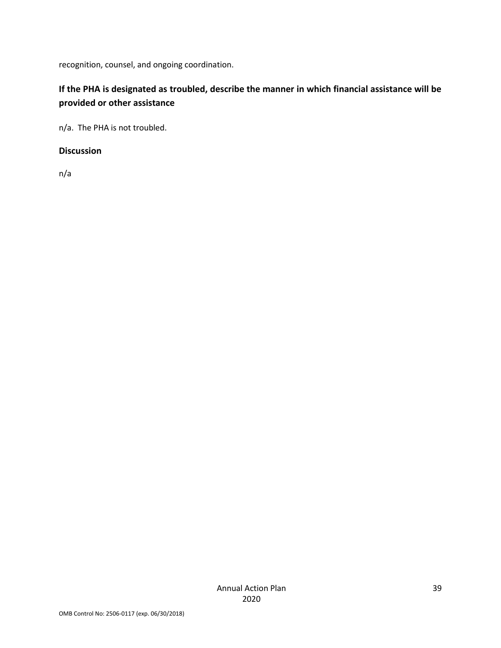recognition, counsel, and ongoing coordination.

# **If the PHA is designated as troubled, describe the manner in which financial assistance will be provided or other assistance**

n/a. The PHA is not troubled.

### **Discussion**

n/a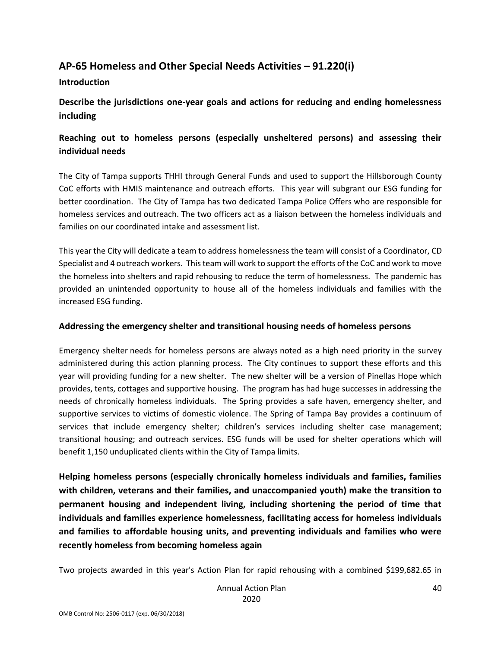# <span id="page-39-0"></span>**AP-65 Homeless and Other Special Needs Activities – 91.220(i)**

### **Introduction**

**Describe the jurisdictions one-year goals and actions for reducing and ending homelessness including**

# **Reaching out to homeless persons (especially unsheltered persons) and assessing their individual needs**

The City of Tampa supports THHI through General Funds and used to support the Hillsborough County CoC efforts with HMIS maintenance and outreach efforts. This year will subgrant our ESG funding for better coordination. The City of Tampa has two dedicated Tampa Police Offers who are responsible for homeless services and outreach. The two officers act as a liaison between the homeless individuals and families on our coordinated intake and assessment list.

This year the City will dedicate a team to address homelessness the team will consist of a Coordinator, CD Specialist and 4 outreach workers. This team will work to support the efforts of the CoC and work to move the homeless into shelters and rapid rehousing to reduce the term of homelessness. The pandemic has provided an unintended opportunity to house all of the homeless individuals and families with the increased ESG funding.

### **Addressing the emergency shelter and transitional housing needs of homeless persons**

Emergency shelter needs for homeless persons are always noted as a high need priority in the survey administered during this action planning process. The City continues to support these efforts and this year will providing funding for a new shelter. The new shelter will be a version of Pinellas Hope which provides, tents, cottages and supportive housing. The program has had huge successes in addressing the needs of chronically homeless individuals. The Spring provides a safe haven, emergency shelter, and supportive services to victims of domestic violence. The Spring of Tampa Bay provides a continuum of services that include emergency shelter; children's services including shelter case management; transitional housing; and outreach services. ESG funds will be used for shelter operations which will benefit 1,150 unduplicated clients within the City of Tampa limits.

**Helping homeless persons (especially chronically homeless individuals and families, families with children, veterans and their families, and unaccompanied youth) make the transition to permanent housing and independent living, including shortening the period of time that individuals and families experience homelessness, facilitating access for homeless individuals and families to affordable housing units, and preventing individuals and families who were recently homeless from becoming homeless again**

Two projects awarded in this year's Action Plan for rapid rehousing with a combined \$199,682.65 in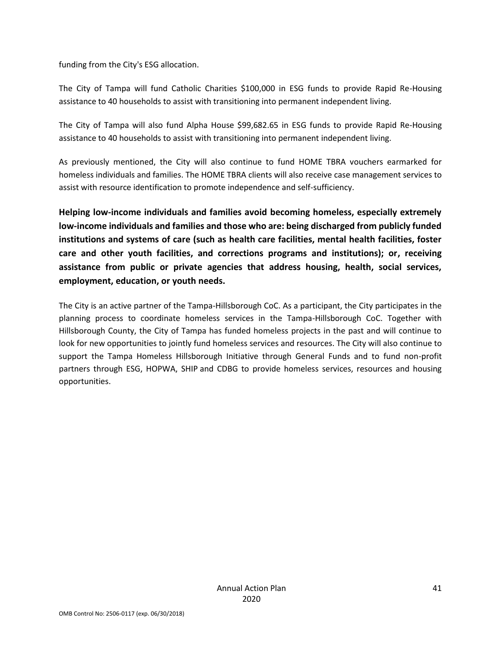funding from the City's ESG allocation.

The City of Tampa will fund Catholic Charities \$100,000 in ESG funds to provide Rapid Re-Housing assistance to 40 households to assist with transitioning into permanent independent living.

The City of Tampa will also fund Alpha House \$99,682.65 in ESG funds to provide Rapid Re-Housing assistance to 40 households to assist with transitioning into permanent independent living.

As previously mentioned, the City will also continue to fund HOME TBRA vouchers earmarked for homeless individuals and families. The HOME TBRA clients will also receive case management services to assist with resource identification to promote independence and self-sufficiency.

**Helping low-income individuals and families avoid becoming homeless, especially extremely low-income individuals and families and those who are: being discharged from publicly funded institutions and systems of care (such as health care facilities, mental health facilities, foster care and other youth facilities, and corrections programs and institutions); or, receiving assistance from public or private agencies that address housing, health, social services, employment, education, or youth needs.**

The City is an active partner of the Tampa-Hillsborough CoC. As a participant, the City participates in the planning process to coordinate homeless services in the Tampa-Hillsborough CoC. Together with Hillsborough County, the City of Tampa has funded homeless projects in the past and will continue to look for new opportunities to jointly fund homeless services and resources. The City will also continue to support the Tampa Homeless Hillsborough Initiative through General Funds and to fund non-profit partners through ESG, HOPWA, SHIP and CDBG to provide homeless services, resources and housing opportunities.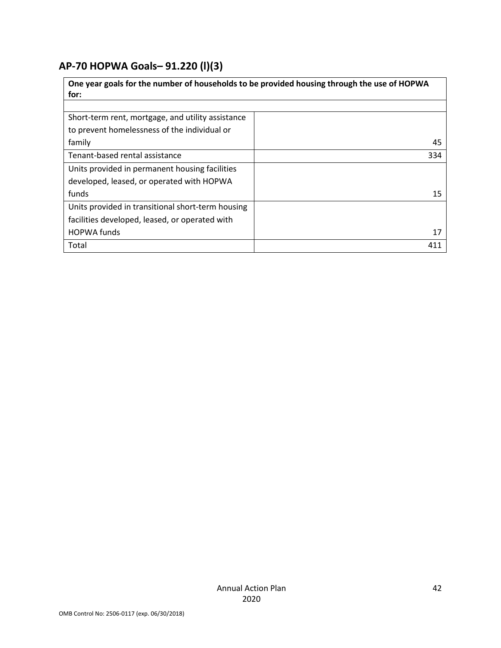# <span id="page-41-0"></span>**AP-70 HOPWA Goals***–* **91.220 (l)(3)**

| One year goals for the number of households to be provided housing through the use of HOPWA |     |  |
|---------------------------------------------------------------------------------------------|-----|--|
| for:                                                                                        |     |  |
|                                                                                             |     |  |
| Short-term rent, mortgage, and utility assistance                                           |     |  |
| to prevent homelessness of the individual or                                                |     |  |
| family                                                                                      | 45  |  |
| Tenant-based rental assistance                                                              | 334 |  |
| Units provided in permanent housing facilities                                              |     |  |
| developed, leased, or operated with HOPWA                                                   |     |  |
| funds                                                                                       | 15  |  |
| Units provided in transitional short-term housing                                           |     |  |
| facilities developed, leased, or operated with                                              |     |  |
| <b>HOPWA funds</b>                                                                          | 17  |  |
| Total                                                                                       | 411 |  |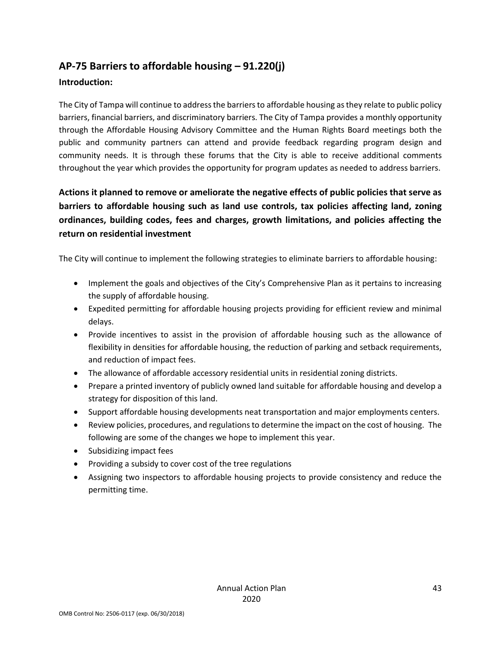# <span id="page-42-0"></span>**AP-75 Barriers to affordable housing – 91.220(j)**

### **Introduction:**

The City of Tampa will continue to address the barriers to affordable housing as they relate to public policy barriers, financial barriers, and discriminatory barriers. The City of Tampa provides a monthly opportunity through the Affordable Housing Advisory Committee and the Human Rights Board meetings both the public and community partners can attend and provide feedback regarding program design and community needs. It is through these forums that the City is able to receive additional comments throughout the year which provides the opportunity for program updates as needed to address barriers.

# **Actions it planned to remove or ameliorate the negative effects of public policies that serve as barriers to affordable housing such as land use controls, tax policies affecting land, zoning ordinances, building codes, fees and charges, growth limitations, and policies affecting the return on residential investment**

The City will continue to implement the following strategies to eliminate barriers to affordable housing:

- Implement the goals and objectives of the City's Comprehensive Plan as it pertains to increasing the supply of affordable housing.
- Expedited permitting for affordable housing projects providing for efficient review and minimal delays.
- Provide incentives to assist in the provision of affordable housing such as the allowance of flexibility in densities for affordable housing, the reduction of parking and setback requirements, and reduction of impact fees.
- The allowance of affordable accessory residential units in residential zoning districts.
- Prepare a printed inventory of publicly owned land suitable for affordable housing and develop a strategy for disposition of this land.
- Support affordable housing developments neat transportation and major employments centers.
- Review policies, procedures, and regulations to determine the impact on the cost of housing. The following are some of the changes we hope to implement this year.
- Subsidizing impact fees
- Providing a subsidy to cover cost of the tree regulations
- Assigning two inspectors to affordable housing projects to provide consistency and reduce the permitting time.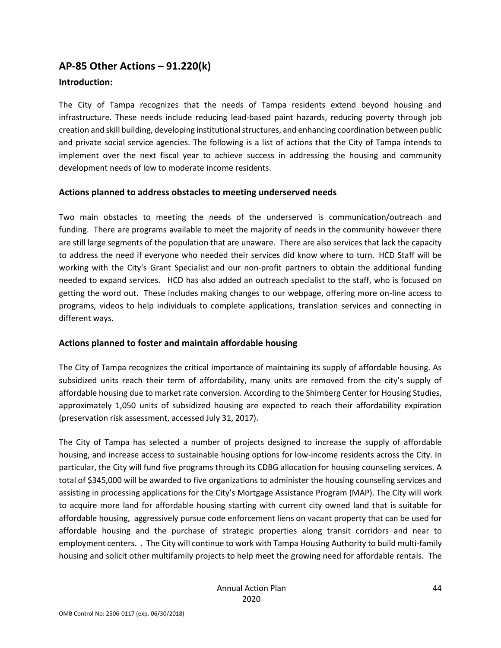# <span id="page-43-0"></span>**AP-85 Other Actions – 91.220(k)**

### **Introduction:**

The City of Tampa recognizes that the needs of Tampa residents extend beyond housing and infrastructure. These needs include reducing lead-based paint hazards, reducing poverty through job creation and skill building, developing institutional structures, and enhancing coordination between public and private social service agencies. The following is a list of actions that the City of Tampa intends to implement over the next fiscal year to achieve success in addressing the housing and community development needs of low to moderate income residents.

### **Actions planned to address obstacles to meeting underserved needs**

Two main obstacles to meeting the needs of the underserved is communication/outreach and funding. There are programs available to meet the majority of needs in the community however there are still large segments of the population that are unaware. There are also services that lack the capacity to address the need if everyone who needed their services did know where to turn. HCD Staff will be working with the City's Grant Specialist and our non-profit partners to obtain the additional funding needed to expand services. HCD has also added an outreach specialist to the staff, who is focused on getting the word out. These includes making changes to our webpage, offering more on-line access to programs, videos to help individuals to complete applications, translation services and connecting in different ways.

### **Actions planned to foster and maintain affordable housing**

The City of Tampa recognizes the critical importance of maintaining its supply of affordable housing. As subsidized units reach their term of affordability, many units are removed from the city's supply of affordable housing due to market rate conversion. According to the Shimberg Center for Housing Studies, approximately 1,050 units of subsidized housing are expected to reach their affordability expiration (preservation risk assessment, accessed July 31, 2017).

The City of Tampa has selected a number of projects designed to increase the supply of affordable housing, and increase access to sustainable housing options for low-income residents across the City. In particular, the City will fund five programs through its CDBG allocation for housing counseling services. A total of \$345,000 will be awarded to five organizations to administer the housing counseling services and assisting in processing applications for the City's Mortgage Assistance Program (MAP). The City will work to acquire more land for affordable housing starting with current city owned land that is suitable for affordable housing, aggressively pursue code enforcement liens on vacant property that can be used for affordable housing and the purchase of strategic properties along transit corridors and near to employment centers. . The City will continue to work with Tampa Housing Authority to build multi-family housing and solicit other multifamily projects to help meet the growing need for affordable rentals. The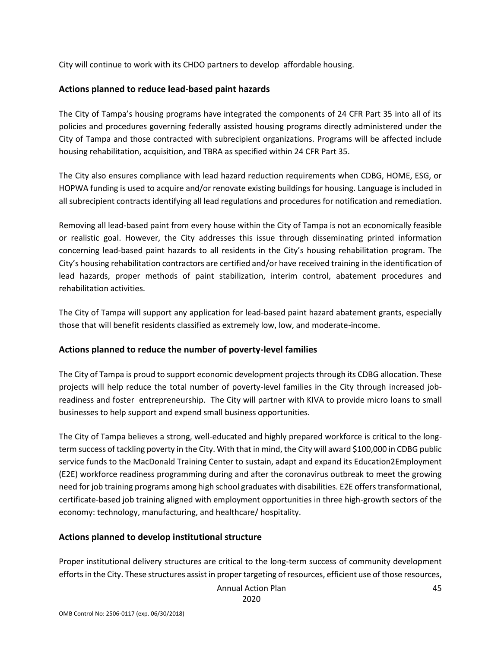City will continue to work with its CHDO partners to develop affordable housing.

### **Actions planned to reduce lead-based paint hazards**

The City of Tampa's housing programs have integrated the components of 24 CFR Part 35 into all of its policies and procedures governing federally assisted housing programs directly administered under the City of Tampa and those contracted with subrecipient organizations. Programs will be affected include housing rehabilitation, acquisition, and TBRA as specified within 24 CFR Part 35.

The City also ensures compliance with lead hazard reduction requirements when CDBG, HOME, ESG, or HOPWA funding is used to acquire and/or renovate existing buildings for housing. Language is included in all subrecipient contracts identifying all lead regulations and procedures for notification and remediation.

Removing all lead-based paint from every house within the City of Tampa is not an economically feasible or realistic goal. However, the City addresses this issue through disseminating printed information concerning lead-based paint hazards to all residents in the City's housing rehabilitation program. The City's housing rehabilitation contractors are certified and/or have received training in the identification of lead hazards, proper methods of paint stabilization, interim control, abatement procedures and rehabilitation activities.

The City of Tampa will support any application for lead-based paint hazard abatement grants, especially those that will benefit residents classified as extremely low, low, and moderate-income.

### **Actions planned to reduce the number of poverty-level families**

The City of Tampa is proud to support economic development projects through its CDBG allocation. These projects will help reduce the total number of poverty-level families in the City through increased jobreadiness and foster entrepreneurship. The City will partner with KIVA to provide micro loans to small businesses to help support and expend small business opportunities.

The City of Tampa believes a strong, well-educated and highly prepared workforce is critical to the longterm success of tackling poverty in the City. With that in mind, the City will award \$100,000 in CDBG public service funds to the MacDonald Training Center to sustain, adapt and expand its Education2Employment (E2E) workforce readiness programming during and after the coronavirus outbreak to meet the growing need for job training programs among high school graduates with disabilities. E2E offers transformational, certificate-based job training aligned with employment opportunities in three high-growth sectors of the economy: technology, manufacturing, and healthcare/ hospitality.

### **Actions planned to develop institutional structure**

Proper institutional delivery structures are critical to the long-term success of community development efforts in the City. These structures assist in proper targeting of resources, efficient use of those resources,

Annual Action Plan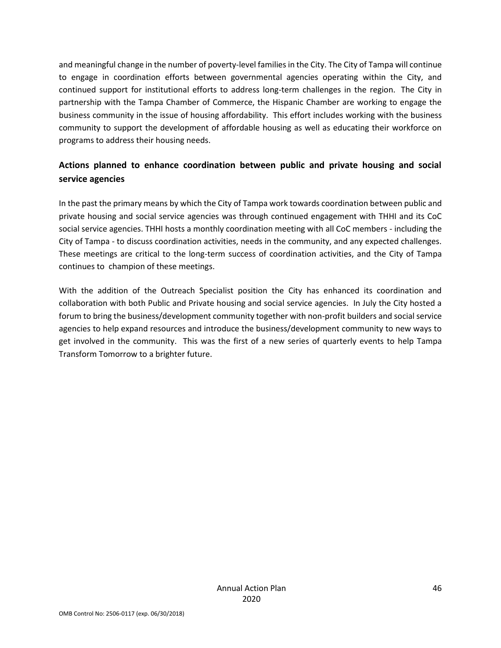and meaningful change in the number of poverty-level families in the City. The City of Tampa will continue to engage in coordination efforts between governmental agencies operating within the City, and continued support for institutional efforts to address long-term challenges in the region. The City in partnership with the Tampa Chamber of Commerce, the Hispanic Chamber are working to engage the business community in the issue of housing affordability. This effort includes working with the business community to support the development of affordable housing as well as educating their workforce on programs to address their housing needs.

# **Actions planned to enhance coordination between public and private housing and social service agencies**

In the past the primary means by which the City of Tampa work towards coordination between public and private housing and social service agencies was through continued engagement with THHI and its CoC social service agencies. THHI hosts a monthly coordination meeting with all CoC members - including the City of Tampa - to discuss coordination activities, needs in the community, and any expected challenges. These meetings are critical to the long-term success of coordination activities, and the City of Tampa continues to champion of these meetings.

With the addition of the Outreach Specialist position the City has enhanced its coordination and collaboration with both Public and Private housing and social service agencies. In July the City hosted a forum to bring the business/development community together with non-profit builders and social service agencies to help expand resources and introduce the business/development community to new ways to get involved in the community. This was the first of a new series of quarterly events to help Tampa Transform Tomorrow to a brighter future.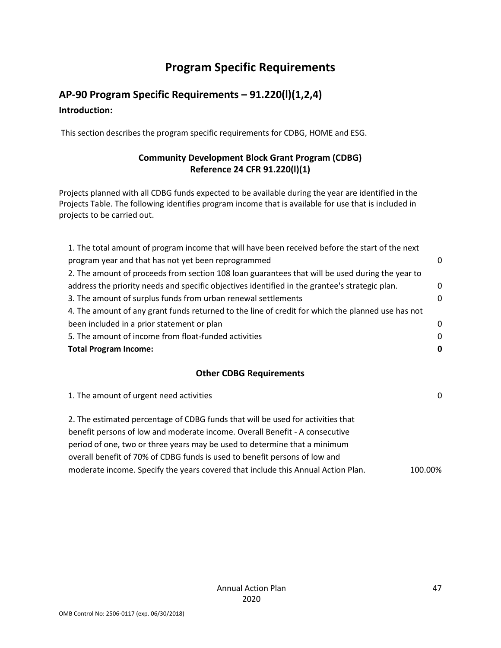# **Program Specific Requirements**

# <span id="page-46-1"></span><span id="page-46-0"></span>**AP-90 Program Specific Requirements – 91.220(l)(1,2,4) Introduction:**

This section describes the program specific requirements for CDBG, HOME and ESG.

# **Community Development Block Grant Program (CDBG) Reference 24 CFR 91.220(l)(1)**

Projects planned with all CDBG funds expected to be available during the year are identified in the Projects Table. The following identifies program income that is available for use that is included in projects to be carried out.

| ∩        |
|----------|
|          |
| 0        |
| $\Omega$ |
|          |
| 0        |
| 0        |
| 0        |
|          |

### **Other CDBG Requirements**

| 1. The amount of urgent need activities                                          | $\Omega$ |
|----------------------------------------------------------------------------------|----------|
| 2. The estimated percentage of CDBG funds that will be used for activities that  |          |
| benefit persons of low and moderate income. Overall Benefit - A consecutive      |          |
| period of one, two or three years may be used to determine that a minimum        |          |
| overall benefit of 70% of CDBG funds is used to benefit persons of low and       |          |
| moderate income. Specify the years covered that include this Annual Action Plan. | 100.00%  |
|                                                                                  |          |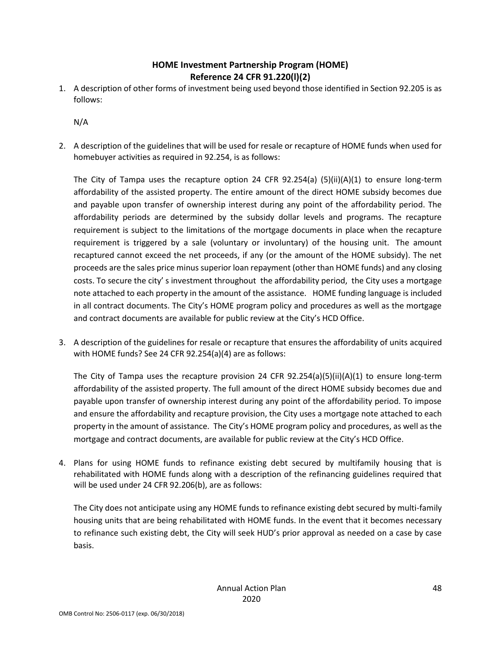# **HOME Investment Partnership Program (HOME) Reference 24 CFR 91.220(l)(2)**

1. A description of other forms of investment being used beyond those identified in Section 92.205 is as follows:

N/A

2. A description of the guidelines that will be used for resale or recapture of HOME funds when used for homebuyer activities as required in 92.254, is as follows:

The City of Tampa uses the recapture option 24 CFR 92.254(a) (5)(ii)(A)(1) to ensure long-term affordability of the assisted property. The entire amount of the direct HOME subsidy becomes due and payable upon transfer of ownership interest during any point of the affordability period. The affordability periods are determined by the subsidy dollar levels and programs. The recapture requirement is subject to the limitations of the mortgage documents in place when the recapture requirement is triggered by a sale (voluntary or involuntary) of the housing unit. The amount recaptured cannot exceed the net proceeds, if any (or the amount of the HOME subsidy). The net proceeds are the sales price minus superior loan repayment (other than HOME funds) and any closing costs. To secure the city' s investment throughout the affordability period, the City uses a mortgage note attached to each property in the amount of the assistance. HOME funding language is included in all contract documents. The City's HOME program policy and procedures as well as the mortgage and contract documents are available for public review at the City's HCD Office.

3. A description of the guidelines for resale or recapture that ensures the affordability of units acquired with HOME funds? See 24 CFR 92.254(a)(4) are as follows:

The City of Tampa uses the recapture provision 24 CFR 92.254(a)(5)(ii)(A)(1) to ensure long-term affordability of the assisted property. The full amount of the direct HOME subsidy becomes due and payable upon transfer of ownership interest during any point of the affordability period. To impose and ensure the affordability and recapture provision, the City uses a mortgage note attached to each property in the amount of assistance. The City's HOME program policy and procedures, as well as the mortgage and contract documents, are available for public review at the City's HCD Office.

4. Plans for using HOME funds to refinance existing debt secured by multifamily housing that is rehabilitated with HOME funds along with a description of the refinancing guidelines required that will be used under 24 CFR 92.206(b), are as follows:

The City does not anticipate using any HOME funds to refinance existing debt secured by multi-family housing units that are being rehabilitated with HOME funds. In the event that it becomes necessary to refinance such existing debt, the City will seek HUD's prior approval as needed on a case by case basis.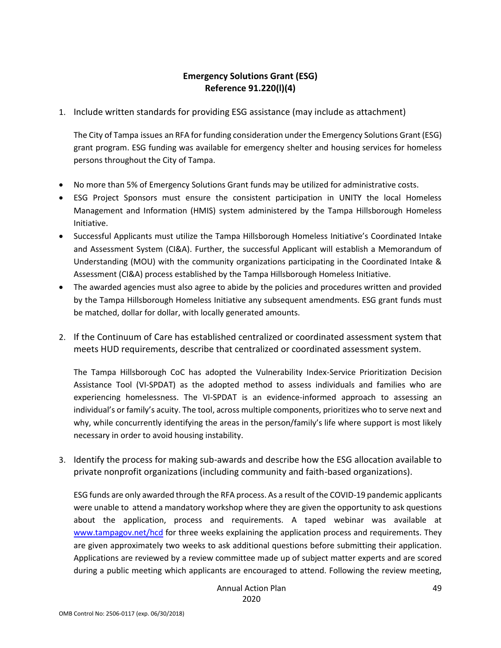# **Emergency Solutions Grant (ESG) Reference 91.220(l)(4)**

1. Include written standards for providing ESG assistance (may include as attachment)

The City of Tampa issues an RFA for funding consideration under the Emergency Solutions Grant (ESG) grant program. ESG funding was available for emergency shelter and housing services for homeless persons throughout the City of Tampa.

- No more than 5% of Emergency Solutions Grant funds may be utilized for administrative costs.
- ESG Project Sponsors must ensure the consistent participation in UNITY the local Homeless Management and Information (HMIS) system administered by the Tampa Hillsborough Homeless Initiative.
- Successful Applicants must utilize the Tampa Hillsborough Homeless Initiative's Coordinated Intake and Assessment System (CI&A). Further, the successful Applicant will establish a Memorandum of Understanding (MOU) with the community organizations participating in the Coordinated Intake & Assessment (CI&A) process established by the Tampa Hillsborough Homeless Initiative.
- The awarded agencies must also agree to abide by the policies and procedures written and provided by the Tampa Hillsborough Homeless Initiative any subsequent amendments. ESG grant funds must be matched, dollar for dollar, with locally generated amounts.
- 2. If the Continuum of Care has established centralized or coordinated assessment system that meets HUD requirements, describe that centralized or coordinated assessment system.

The Tampa Hillsborough CoC has adopted the Vulnerability Index-Service Prioritization Decision Assistance Tool (VI-SPDAT) as the adopted method to assess individuals and families who are experiencing homelessness. The VI-SPDAT is an evidence-informed approach to assessing an individual's or family's acuity. The tool, across multiple components, prioritizes who to serve next and why, while concurrently identifying the areas in the person/family's life where support is most likely necessary in order to avoid housing instability.

3. Identify the process for making sub-awards and describe how the ESG allocation available to private nonprofit organizations (including community and faith-based organizations).

ESG funds are only awarded through the RFA process. As a result of the COVID-19 pandemic applicants were unable to attend a mandatory workshop where they are given the opportunity to ask questions about the application, process and requirements. A taped webinar was available at [www.tampagov.net/hcd](http://www.tampagov.net/hcd) for three weeks explaining the application process and requirements. They are given approximately two weeks to ask additional questions before submitting their application. Applications are reviewed by a review committee made up of subject matter experts and are scored during a public meeting which applicants are encouraged to attend. Following the review meeting,